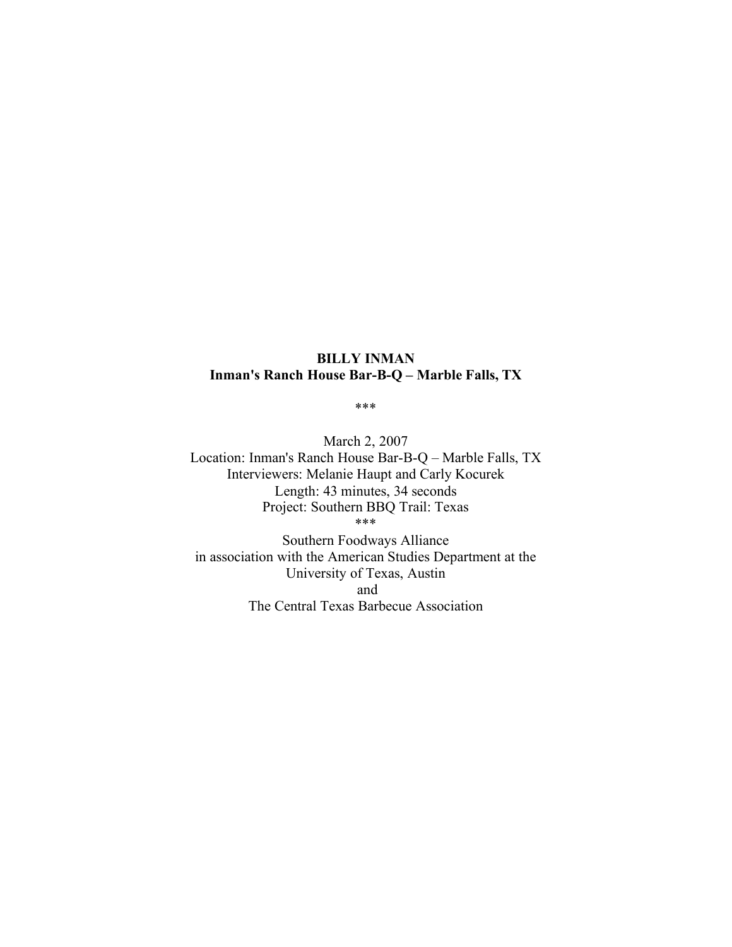# **BILLY INMAN Inman's Ranch House Bar-B-Q – Marble Falls, TX**

\*\*\*

March 2, 2007 Location: Inman's Ranch House Bar-B-Q – Marble Falls, TX Interviewers: Melanie Haupt and Carly Kocurek Length: 43 minutes, 34 seconds Project: Southern BBQ Trail: Texas \*\*\*

Southern Foodways Alliance in association with the American Studies Department at the University of Texas, Austin and The Central Texas Barbecue Association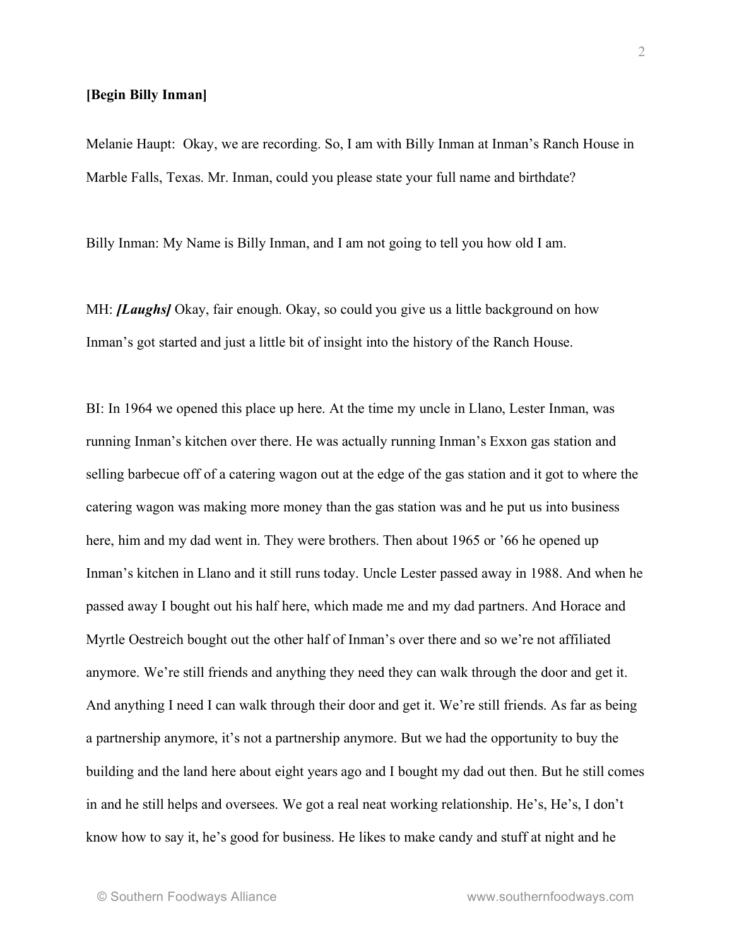#### **[Begin Billy Inman]**

Melanie Haupt: Okay, we are recording. So, I am with Billy Inman at Inman's Ranch House in Marble Falls, Texas. Mr. Inman, could you please state your full name and birthdate?

Billy Inman: My Name is Billy Inman, and I am not going to tell you how old I am.

MH: *[Laughs]* Okay, fair enough. Okay, so could you give us a little background on how Inman's got started and just a little bit of insight into the history of the Ranch House.

BI: In 1964 we opened this place up here. At the time my uncle in Llano, Lester Inman, was running Inman's kitchen over there. He was actually running Inman's Exxon gas station and selling barbecue off of a catering wagon out at the edge of the gas station and it got to where the catering wagon was making more money than the gas station was and he put us into business here, him and my dad went in. They were brothers. Then about 1965 or '66 he opened up Inman's kitchen in Llano and it still runs today. Uncle Lester passed away in 1988. And when he passed away I bought out his half here, which made me and my dad partners. And Horace and Myrtle Oestreich bought out the other half of Inman's over there and so we're not affiliated anymore. We're still friends and anything they need they can walk through the door and get it. And anything I need I can walk through their door and get it. We're still friends. As far as being a partnership anymore, it's not a partnership anymore. But we had the opportunity to buy the building and the land here about eight years ago and I bought my dad out then. But he still comes in and he still helps and oversees. We got a real neat working relationship. He's, He's, I don't know how to say it, he's good for business. He likes to make candy and stuff at night and he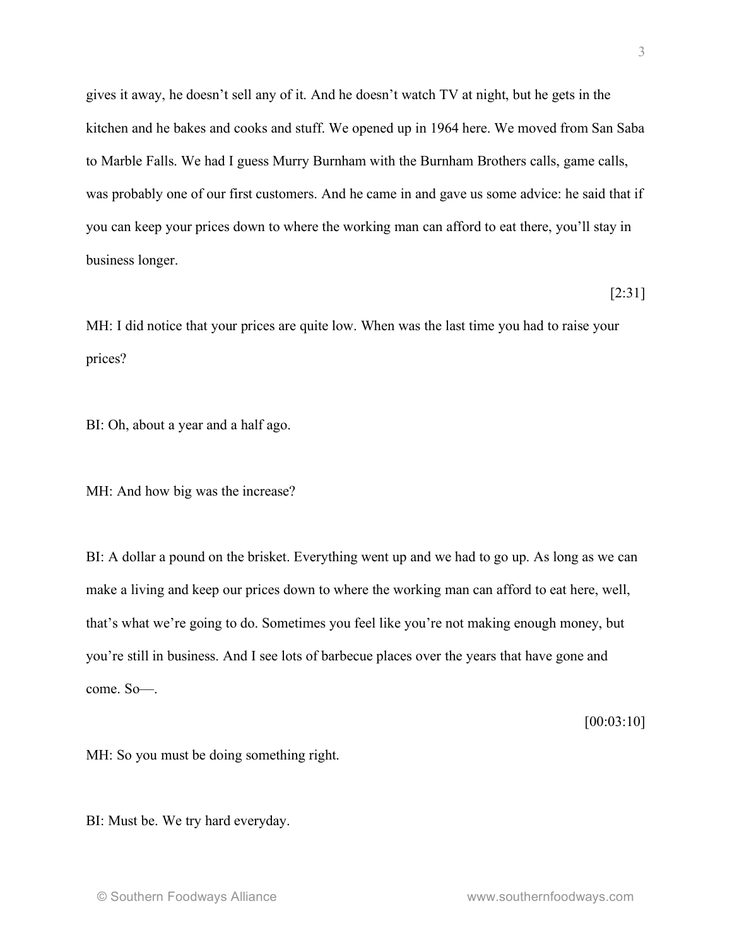gives it away, he doesn't sell any of it. And he doesn't watch TV at night, but he gets in the kitchen and he bakes and cooks and stuff. We opened up in 1964 here. We moved from San Saba to Marble Falls. We had I guess Murry Burnham with the Burnham Brothers calls, game calls, was probably one of our first customers. And he came in and gave us some advice: he said that if you can keep your prices down to where the working man can afford to eat there, you'll stay in business longer.

MH: I did notice that your prices are quite low. When was the last time you had to raise your prices?

BI: Oh, about a year and a half ago.

MH: And how big was the increase?

BI: A dollar a pound on the brisket. Everything went up and we had to go up. As long as we can make a living and keep our prices down to where the working man can afford to eat here, well, that's what we're going to do. Sometimes you feel like you're not making enough money, but you're still in business. And I see lots of barbecue places over the years that have gone and come. So—.

[00:03:10]

MH: So you must be doing something right.

BI: Must be. We try hard everyday.

[2:31]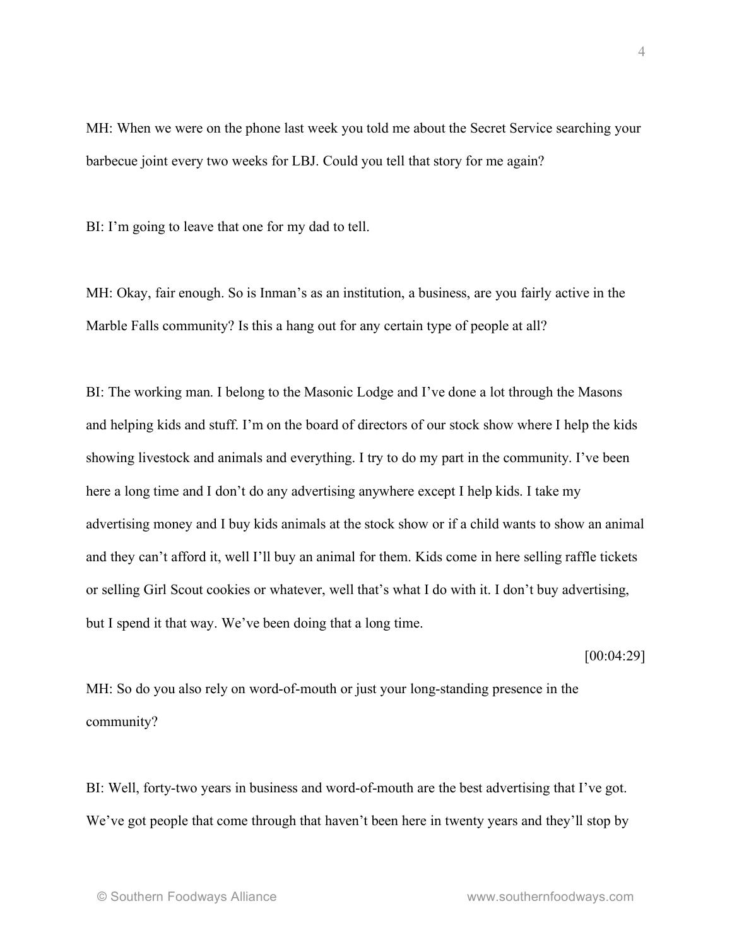MH: When we were on the phone last week you told me about the Secret Service searching your barbecue joint every two weeks for LBJ. Could you tell that story for me again?

BI: I'm going to leave that one for my dad to tell.

MH: Okay, fair enough. So is Inman's as an institution, a business, are you fairly active in the Marble Falls community? Is this a hang out for any certain type of people at all?

BI: The working man. I belong to the Masonic Lodge and I've done a lot through the Masons and helping kids and stuff. I'm on the board of directors of our stock show where I help the kids showing livestock and animals and everything. I try to do my part in the community. I've been here a long time and I don't do any advertising anywhere except I help kids. I take my advertising money and I buy kids animals at the stock show or if a child wants to show an animal and they can't afford it, well I'll buy an animal for them. Kids come in here selling raffle tickets or selling Girl Scout cookies or whatever, well that's what I do with it. I don't buy advertising, but I spend it that way. We've been doing that a long time.

[00:04:29]

MH: So do you also rely on word-of-mouth or just your long-standing presence in the community?

BI: Well, forty-two years in business and word-of-mouth are the best advertising that I've got. We've got people that come through that haven't been here in twenty years and they'll stop by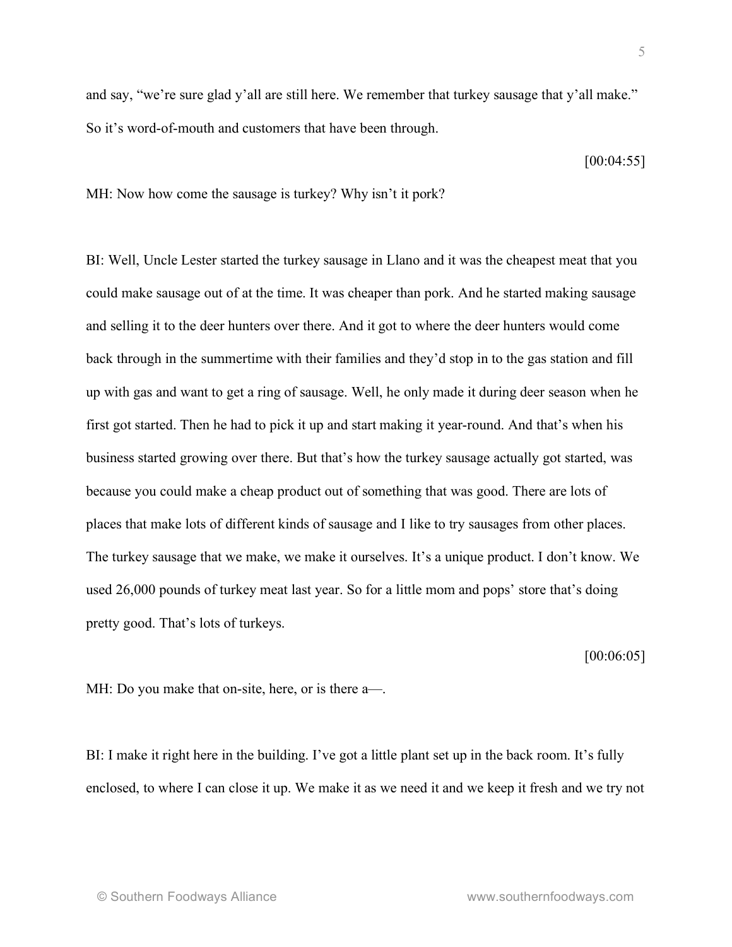and say, "we're sure glad y'all are still here. We remember that turkey sausage that y'all make." So it's word-of-mouth and customers that have been through.

[00:04:55]

MH: Now how come the sausage is turkey? Why isn't it pork?

BI: Well, Uncle Lester started the turkey sausage in Llano and it was the cheapest meat that you could make sausage out of at the time. It was cheaper than pork. And he started making sausage and selling it to the deer hunters over there. And it got to where the deer hunters would come back through in the summertime with their families and they'd stop in to the gas station and fill up with gas and want to get a ring of sausage. Well, he only made it during deer season when he first got started. Then he had to pick it up and start making it year-round. And that's when his business started growing over there. But that's how the turkey sausage actually got started, was because you could make a cheap product out of something that was good. There are lots of places that make lots of different kinds of sausage and I like to try sausages from other places. The turkey sausage that we make, we make it ourselves. It's a unique product. I don't know. We used 26,000 pounds of turkey meat last year. So for a little mom and pops' store that's doing pretty good. That's lots of turkeys.

[00:06:05]

MH: Do you make that on-site, here, or is there a—.

BI: I make it right here in the building. I've got a little plant set up in the back room. It's fully enclosed, to where I can close it up. We make it as we need it and we keep it fresh and we try not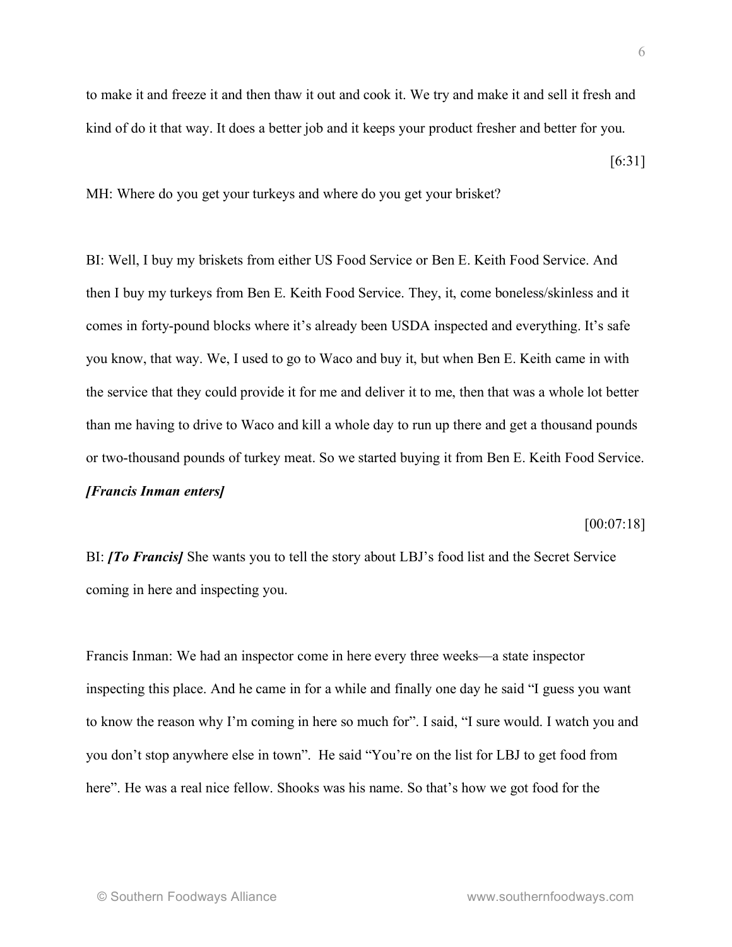to make it and freeze it and then thaw it out and cook it. We try and make it and sell it fresh and kind of do it that way. It does a better job and it keeps your product fresher and better for you.

[6:31]

MH: Where do you get your turkeys and where do you get your brisket?

BI: Well, I buy my briskets from either US Food Service or Ben E. Keith Food Service. And then I buy my turkeys from Ben E. Keith Food Service. They, it, come boneless/skinless and it comes in forty-pound blocks where it's already been USDA inspected and everything. It's safe you know, that way. We, I used to go to Waco and buy it, but when Ben E. Keith came in with the service that they could provide it for me and deliver it to me, then that was a whole lot better than me having to drive to Waco and kill a whole day to run up there and get a thousand pounds or two-thousand pounds of turkey meat. So we started buying it from Ben E. Keith Food Service. *[Francis Inman enters]*

[00:07:18]

BI: *[To Francis]* She wants you to tell the story about LBJ's food list and the Secret Service coming in here and inspecting you.

Francis Inman: We had an inspector come in here every three weeks—a state inspector inspecting this place. And he came in for a while and finally one day he said "I guess you want to know the reason why I'm coming in here so much for". I said, "I sure would. I watch you and you don't stop anywhere else in town". He said "You're on the list for LBJ to get food from here". He was a real nice fellow. Shooks was his name. So that's how we got food for the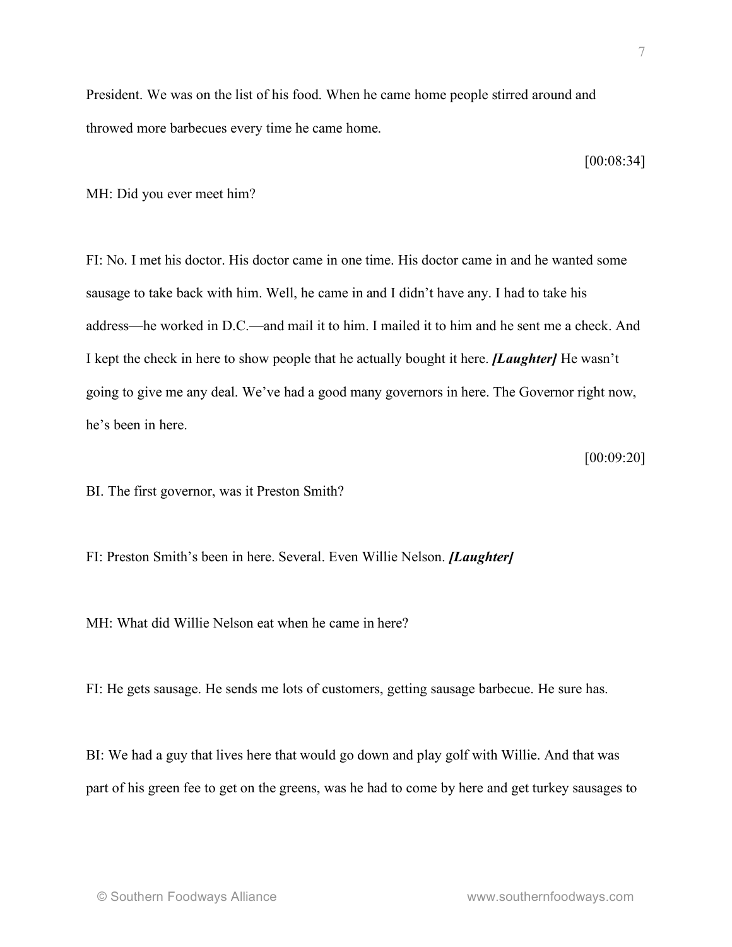President. We was on the list of his food. When he came home people stirred around and throwed more barbecues every time he came home.

[00:08:34]

MH: Did you ever meet him?

FI: No. I met his doctor. His doctor came in one time. His doctor came in and he wanted some sausage to take back with him. Well, he came in and I didn't have any. I had to take his address—he worked in D.C.—and mail it to him. I mailed it to him and he sent me a check. And I kept the check in here to show people that he actually bought it here. *[Laughter]* He wasn't going to give me any deal. We've had a good many governors in here. The Governor right now, he's been in here.

[00:09:20]

BI. The first governor, was it Preston Smith?

FI: Preston Smith's been in here. Several. Even Willie Nelson. *[Laughter]*

MH: What did Willie Nelson eat when he came in here?

FI: He gets sausage. He sends me lots of customers, getting sausage barbecue. He sure has.

BI: We had a guy that lives here that would go down and play golf with Willie. And that was part of his green fee to get on the greens, was he had to come by here and get turkey sausages to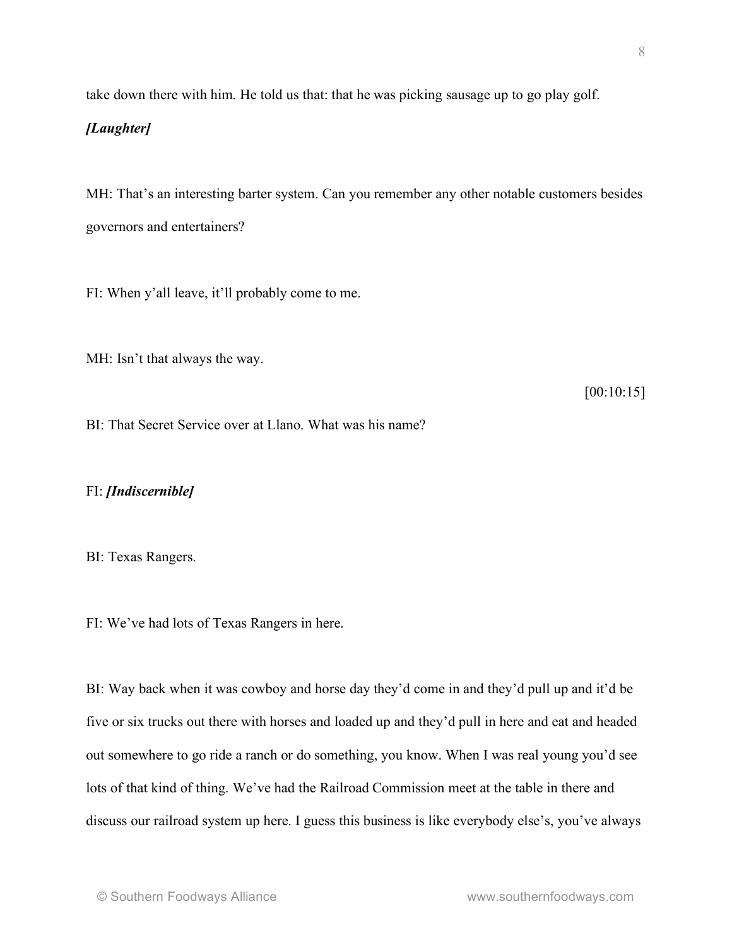take down there with him. He told us that: that he was picking sausage up to go play golf.

## *[Laughter]*

MH: That's an interesting barter system. Can you remember any other notable customers besides governors and entertainers?

FI: When y'all leave, it'll probably come to me.

MH: Isn't that always the way.

[00:10:15]

BI: That Secret Service over at Llano. What was his name?

FI: *[Indiscernible]*

BI: Texas Rangers.

FI: We've had lots of Texas Rangers in here.

BI: Way back when it was cowboy and horse day they'd come in and they'd pull up and it'd be five or six trucks out there with horses and loaded up and they'd pull in here and eat and headed out somewhere to go ride a ranch or do something, you know. When I was real young you'd see lots of that kind of thing. We've had the Railroad Commission meet at the table in there and discuss our railroad system up here. I guess this business is like everybody else's, you've always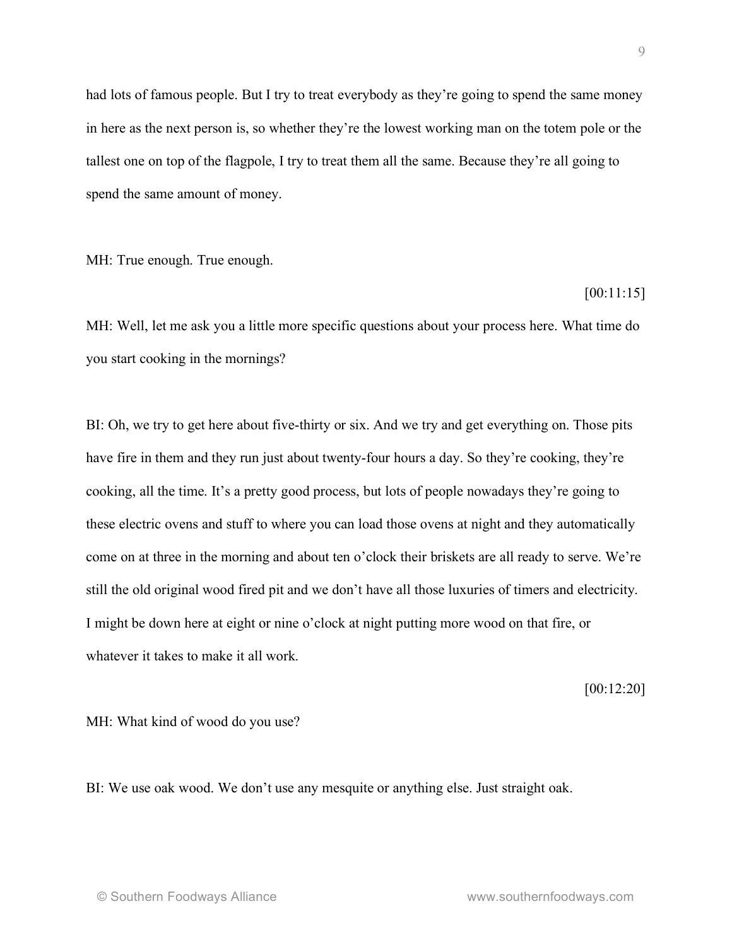had lots of famous people. But I try to treat everybody as they're going to spend the same money in here as the next person is, so whether they're the lowest working man on the totem pole or the tallest one on top of the flagpole, I try to treat them all the same. Because they're all going to spend the same amount of money.

MH: True enough. True enough.

[00:11:15]

MH: Well, let me ask you a little more specific questions about your process here. What time do you start cooking in the mornings?

BI: Oh, we try to get here about five-thirty or six. And we try and get everything on. Those pits have fire in them and they run just about twenty-four hours a day. So they're cooking, they're cooking, all the time. It's a pretty good process, but lots of people nowadays they're going to these electric ovens and stuff to where you can load those ovens at night and they automatically come on at three in the morning and about ten o'clock their briskets are all ready to serve. We're still the old original wood fired pit and we don't have all those luxuries of timers and electricity. I might be down here at eight or nine o'clock at night putting more wood on that fire, or whatever it takes to make it all work.

[00:12:20]

MH: What kind of wood do you use?

BI: We use oak wood. We don't use any mesquite or anything else. Just straight oak.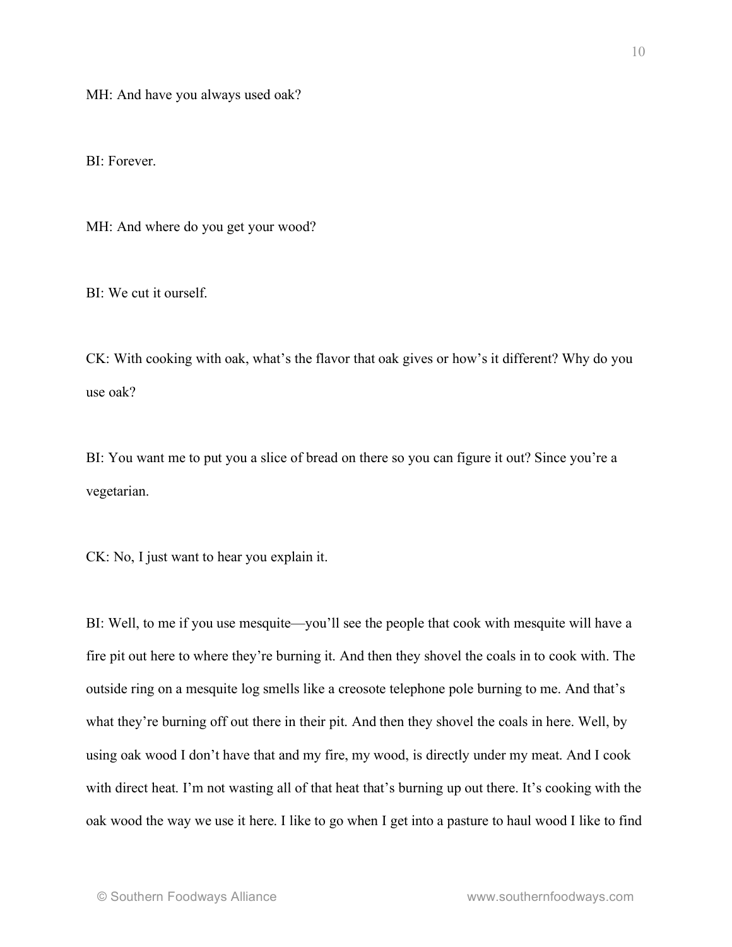MH: And have you always used oak?

BI: Forever.

MH: And where do you get your wood?

BI: We cut it ourself.

CK: With cooking with oak, what's the flavor that oak gives or how's it different? Why do you use oak?

BI: You want me to put you a slice of bread on there so you can figure it out? Since you're a vegetarian.

CK: No, I just want to hear you explain it.

BI: Well, to me if you use mesquite—you'll see the people that cook with mesquite will have a fire pit out here to where they're burning it. And then they shovel the coals in to cook with. The outside ring on a mesquite log smells like a creosote telephone pole burning to me. And that's what they're burning off out there in their pit. And then they shovel the coals in here. Well, by using oak wood I don't have that and my fire, my wood, is directly under my meat. And I cook with direct heat. I'm not wasting all of that heat that's burning up out there. It's cooking with the oak wood the way we use it here. I like to go when I get into a pasture to haul wood I like to find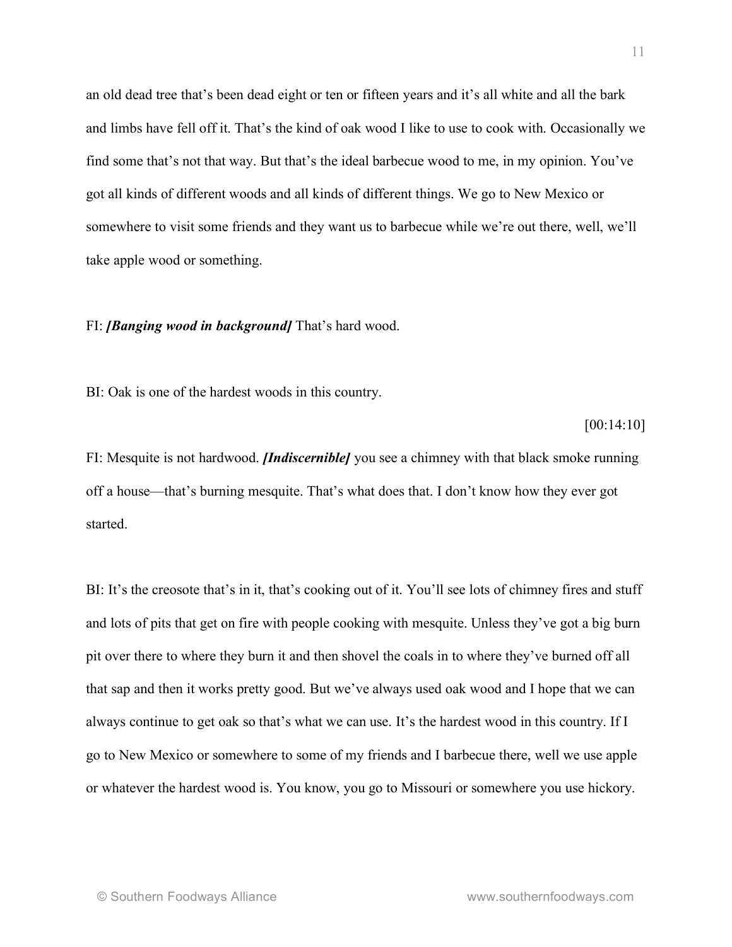an old dead tree that's been dead eight or ten or fifteen years and it's all white and all the bark and limbs have fell off it. That's the kind of oak wood I like to use to cook with. Occasionally we find some that's not that way. But that's the ideal barbecue wood to me, in my opinion. You've got all kinds of different woods and all kinds of different things. We go to New Mexico or somewhere to visit some friends and they want us to barbecue while we're out there, well, we'll take apple wood or something.

### FI: *[Banging wood in background]* That's hard wood.

BI: Oak is one of the hardest woods in this country.

#### [00:14:10]

FI: Mesquite is not hardwood. *[Indiscernible]* you see a chimney with that black smoke running off a house—that's burning mesquite. That's what does that. I don't know how they ever got started.

BI: It's the creosote that's in it, that's cooking out of it. You'll see lots of chimney fires and stuff and lots of pits that get on fire with people cooking with mesquite. Unless they've got a big burn pit over there to where they burn it and then shovel the coals in to where they've burned off all that sap and then it works pretty good. But we've always used oak wood and I hope that we can always continue to get oak so that's what we can use. It's the hardest wood in this country. If I go to New Mexico or somewhere to some of my friends and I barbecue there, well we use apple or whatever the hardest wood is. You know, you go to Missouri or somewhere you use hickory.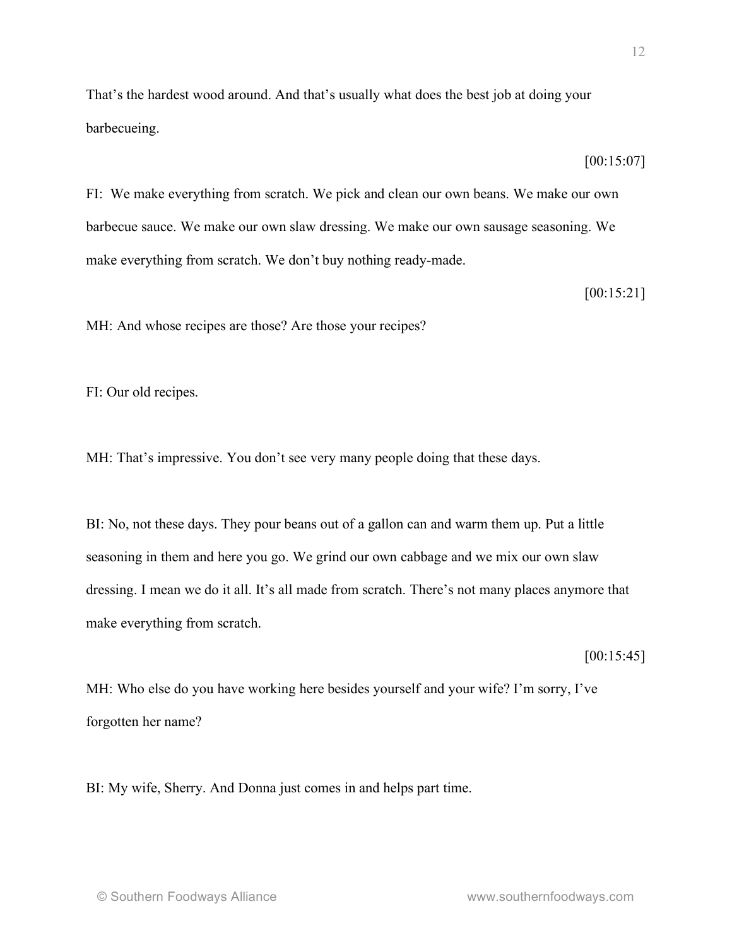That's the hardest wood around. And that's usually what does the best job at doing your barbecueing.

FI: We make everything from scratch. We pick and clean our own beans. We make our own barbecue sauce. We make our own slaw dressing. We make our own sausage seasoning. We make everything from scratch. We don't buy nothing ready-made.

[00:15:21]

[00:15:07]

MH: And whose recipes are those? Are those your recipes?

FI: Our old recipes.

MH: That's impressive. You don't see very many people doing that these days.

BI: No, not these days. They pour beans out of a gallon can and warm them up. Put a little seasoning in them and here you go. We grind our own cabbage and we mix our own slaw dressing. I mean we do it all. It's all made from scratch. There's not many places anymore that make everything from scratch.

[00:15:45]

MH: Who else do you have working here besides yourself and your wife? I'm sorry, I've forgotten her name?

BI: My wife, Sherry. And Donna just comes in and helps part time.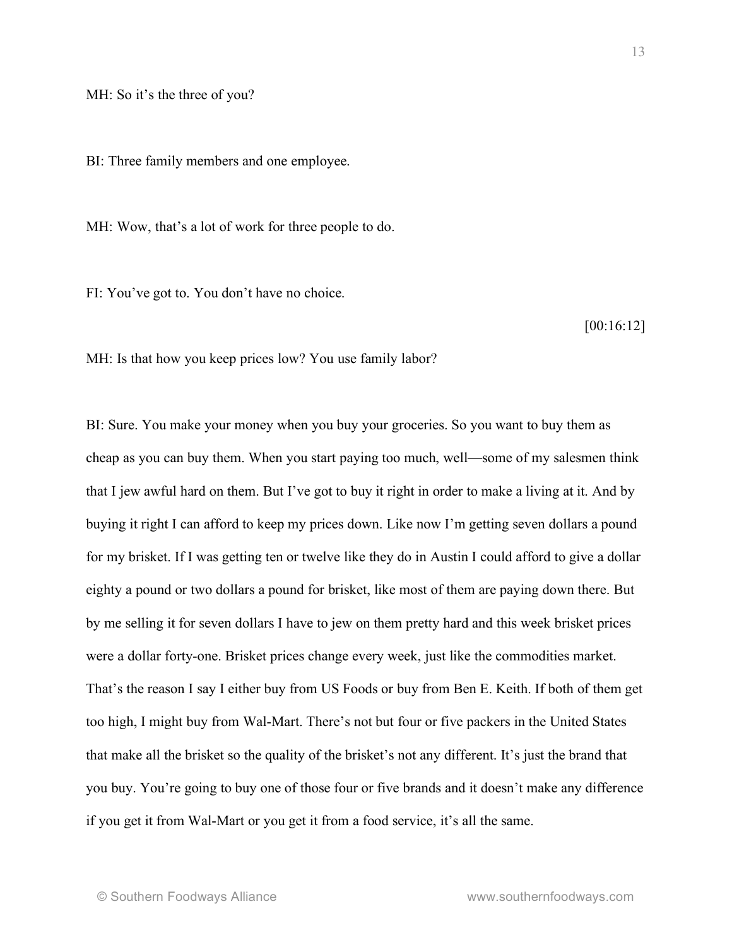MH: So it's the three of you?

BI: Three family members and one employee.

MH: Wow, that's a lot of work for three people to do.

FI: You've got to. You don't have no choice.

[00:16:12]

MH: Is that how you keep prices low? You use family labor?

BI: Sure. You make your money when you buy your groceries. So you want to buy them as cheap as you can buy them. When you start paying too much, well—some of my salesmen think that I jew awful hard on them. But I've got to buy it right in order to make a living at it. And by buying it right I can afford to keep my prices down. Like now I'm getting seven dollars a pound for my brisket. If I was getting ten or twelve like they do in Austin I could afford to give a dollar eighty a pound or two dollars a pound for brisket, like most of them are paying down there. But by me selling it for seven dollars I have to jew on them pretty hard and this week brisket prices were a dollar forty-one. Brisket prices change every week, just like the commodities market. That's the reason I say I either buy from US Foods or buy from Ben E. Keith. If both of them get too high, I might buy from Wal-Mart. There's not but four or five packers in the United States that make all the brisket so the quality of the brisket's not any different. It's just the brand that you buy. You're going to buy one of those four or five brands and it doesn't make any difference if you get it from Wal-Mart or you get it from a food service, it's all the same.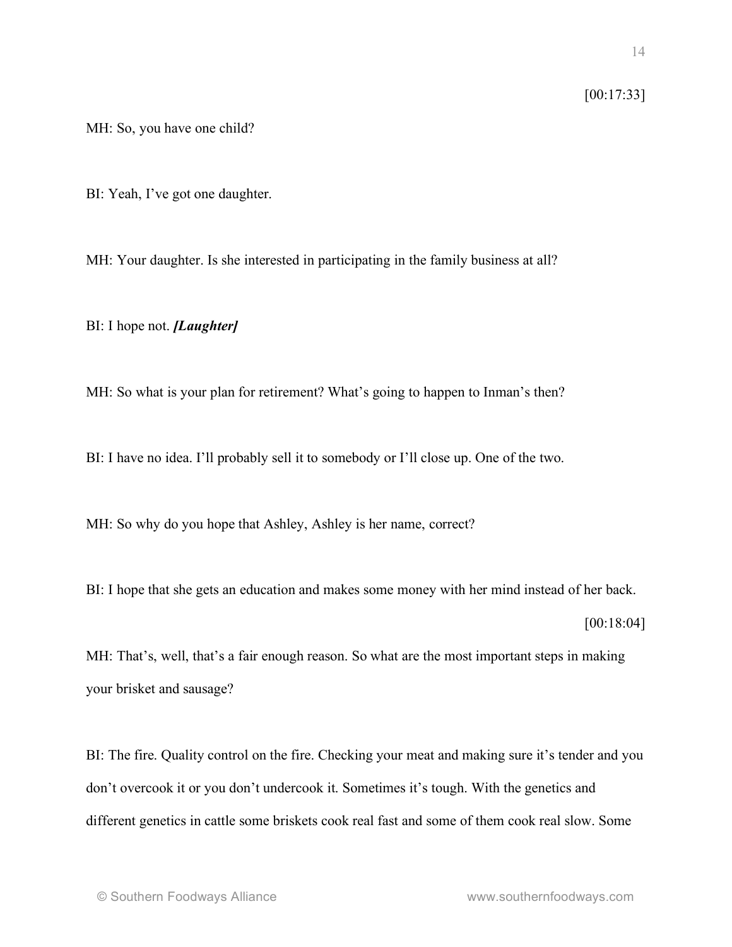# [00:17:33]

MH: So, you have one child?

BI: Yeah, I've got one daughter.

MH: Your daughter. Is she interested in participating in the family business at all?

BI: I hope not. *[Laughter]*

MH: So what is your plan for retirement? What's going to happen to Inman's then?

BI: I have no idea. I'll probably sell it to somebody or I'll close up. One of the two.

MH: So why do you hope that Ashley, Ashley is her name, correct?

BI: I hope that she gets an education and makes some money with her mind instead of her back.

[00:18:04]

MH: That's, well, that's a fair enough reason. So what are the most important steps in making your brisket and sausage?

BI: The fire. Quality control on the fire. Checking your meat and making sure it's tender and you don't overcook it or you don't undercook it. Sometimes it's tough. With the genetics and different genetics in cattle some briskets cook real fast and some of them cook real slow. Some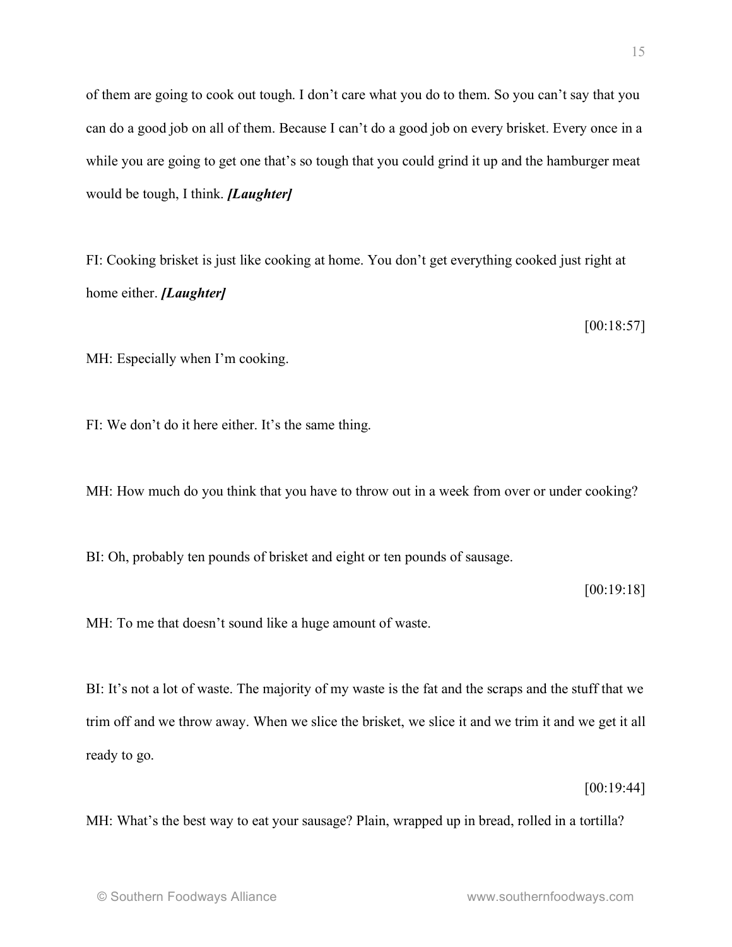15

of them are going to cook out tough. I don't care what you do to them. So you can't say that you can do a good job on all of them. Because I can't do a good job on every brisket. Every once in a while you are going to get one that's so tough that you could grind it up and the hamburger meat would be tough, I think. *[Laughter]*

FI: Cooking brisket is just like cooking at home. You don't get everything cooked just right at home either. *[Laughter]*

[00:18:57]

MH: Especially when I'm cooking.

FI: We don't do it here either. It's the same thing.

MH: How much do you think that you have to throw out in a week from over or under cooking?

BI: Oh, probably ten pounds of brisket and eight or ten pounds of sausage.

[00:19:18]

MH: To me that doesn't sound like a huge amount of waste.

BI: It's not a lot of waste. The majority of my waste is the fat and the scraps and the stuff that we trim off and we throw away. When we slice the brisket, we slice it and we trim it and we get it all ready to go.

[00:19:44]

MH: What's the best way to eat your sausage? Plain, wrapped up in bread, rolled in a tortilla?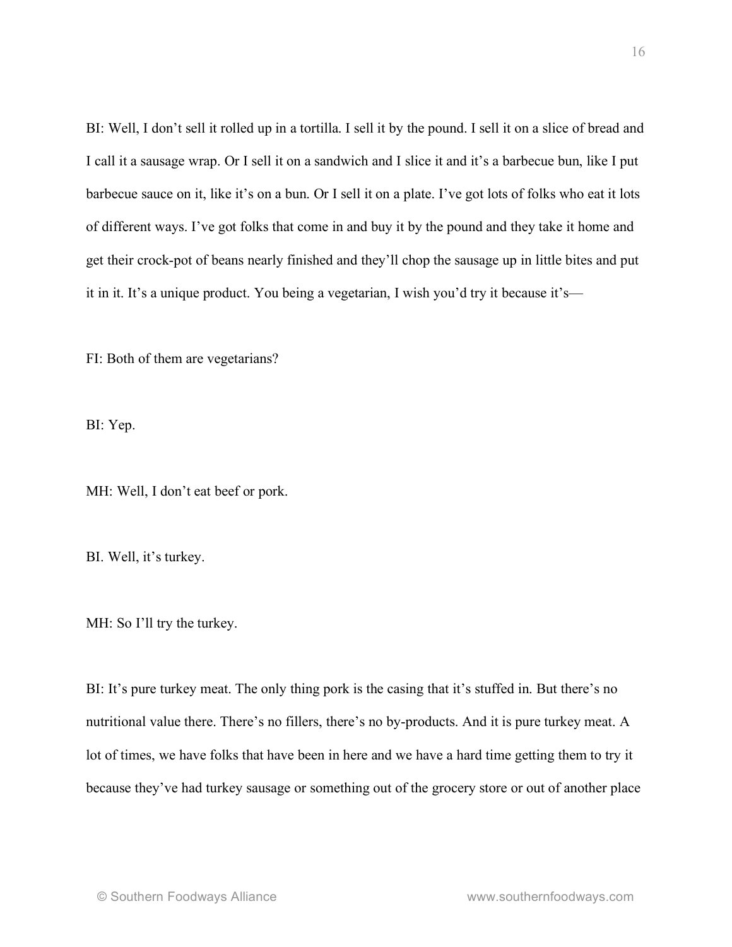BI: Well, I don't sell it rolled up in a tortilla. I sell it by the pound. I sell it on a slice of bread and I call it a sausage wrap. Or I sell it on a sandwich and I slice it and it's a barbecue bun, like I put barbecue sauce on it, like it's on a bun. Or I sell it on a plate. I've got lots of folks who eat it lots of different ways. I've got folks that come in and buy it by the pound and they take it home and get their crock-pot of beans nearly finished and they'll chop the sausage up in little bites and put it in it. It's a unique product. You being a vegetarian, I wish you'd try it because it's—

FI: Both of them are vegetarians?

BI: Yep.

MH: Well, I don't eat beef or pork.

BI. Well, it's turkey.

MH: So I'll try the turkey.

BI: It's pure turkey meat. The only thing pork is the casing that it's stuffed in. But there's no nutritional value there. There's no fillers, there's no by-products. And it is pure turkey meat. A lot of times, we have folks that have been in here and we have a hard time getting them to try it because they've had turkey sausage or something out of the grocery store or out of another place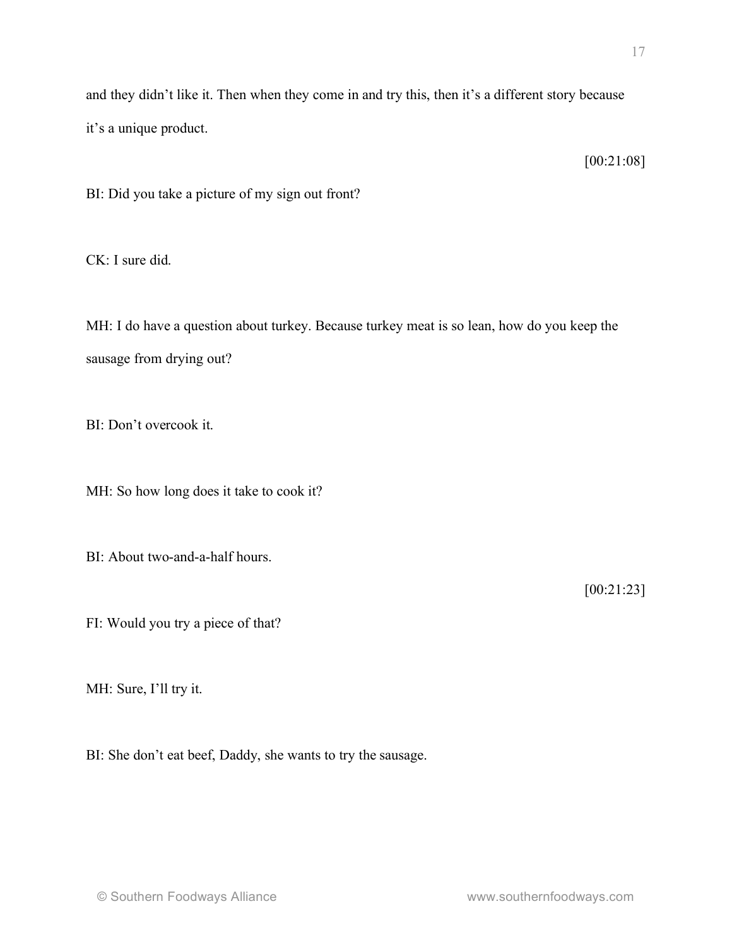and they didn't like it. Then when they come in and try this, then it's a different story because it's a unique product.

[00:21:08]

BI: Did you take a picture of my sign out front?

CK: I sure did.

MH: I do have a question about turkey. Because turkey meat is so lean, how do you keep the sausage from drying out?

BI: Don't overcook it.

MH: So how long does it take to cook it?

BI: About two-and-a-half hours.

[00:21:23]

FI: Would you try a piece of that?

MH: Sure, I'll try it.

BI: She don't eat beef, Daddy, she wants to try the sausage.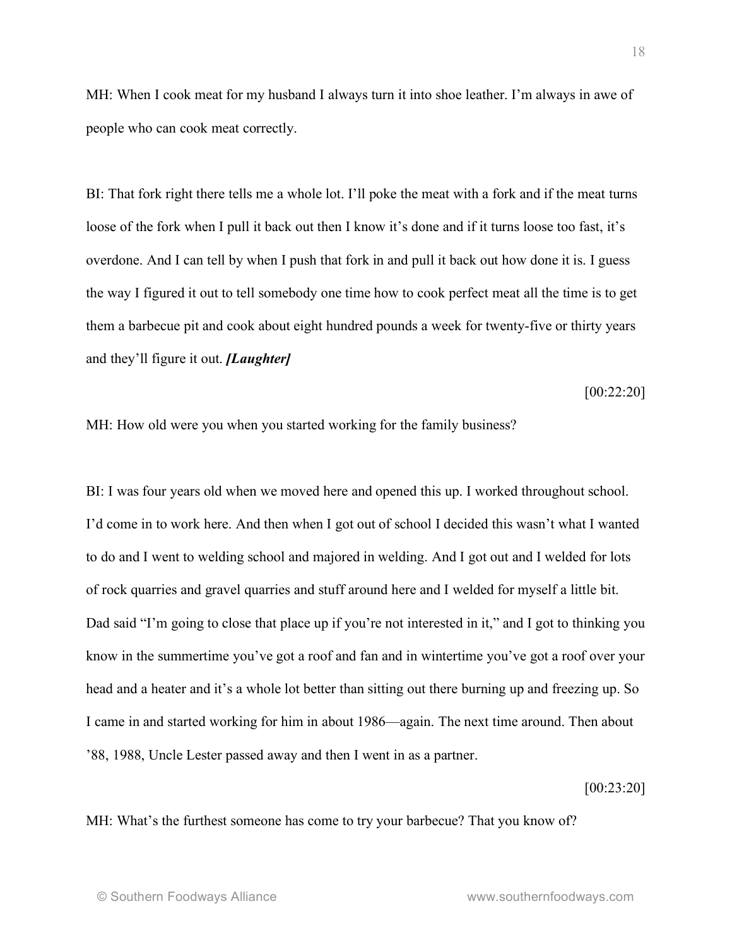MH: When I cook meat for my husband I always turn it into shoe leather. I'm always in awe of people who can cook meat correctly.

BI: That fork right there tells me a whole lot. I'll poke the meat with a fork and if the meat turns loose of the fork when I pull it back out then I know it's done and if it turns loose too fast, it's overdone. And I can tell by when I push that fork in and pull it back out how done it is. I guess the way I figured it out to tell somebody one time how to cook perfect meat all the time is to get them a barbecue pit and cook about eight hundred pounds a week for twenty-five or thirty years and they'll figure it out. *[Laughter]*

[00:22:20]

MH: How old were you when you started working for the family business?

BI: I was four years old when we moved here and opened this up. I worked throughout school. I'd come in to work here. And then when I got out of school I decided this wasn't what I wanted to do and I went to welding school and majored in welding. And I got out and I welded for lots of rock quarries and gravel quarries and stuff around here and I welded for myself a little bit. Dad said "I'm going to close that place up if you're not interested in it," and I got to thinking you know in the summertime you've got a roof and fan and in wintertime you've got a roof over your head and a heater and it's a whole lot better than sitting out there burning up and freezing up. So I came in and started working for him in about 1986—again. The next time around. Then about '88, 1988, Uncle Lester passed away and then I went in as a partner.

[00:23:20]

MH: What's the furthest someone has come to try your barbecue? That you know of?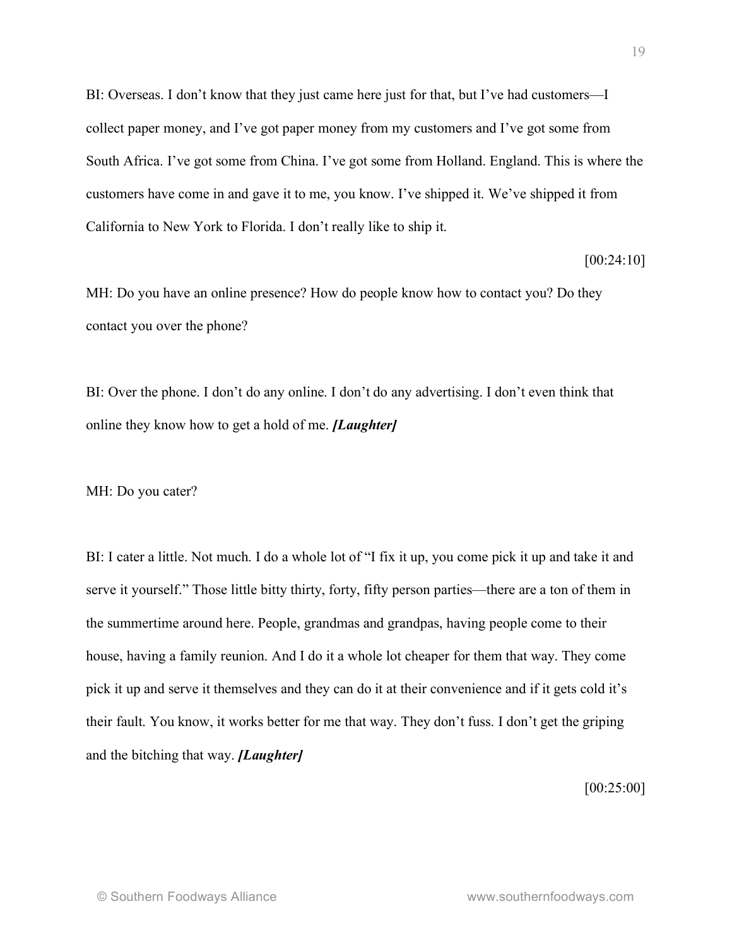BI: Overseas. I don't know that they just came here just for that, but I've had customers—I collect paper money, and I've got paper money from my customers and I've got some from South Africa. I've got some from China. I've got some from Holland. England. This is where the customers have come in and gave it to me, you know. I've shipped it. We've shipped it from California to New York to Florida. I don't really like to ship it.

[00:24:10]

MH: Do you have an online presence? How do people know how to contact you? Do they contact you over the phone?

BI: Over the phone. I don't do any online. I don't do any advertising. I don't even think that online they know how to get a hold of me. *[Laughter]*

MH: Do you cater?

BI: I cater a little. Not much. I do a whole lot of "I fix it up, you come pick it up and take it and serve it yourself." Those little bitty thirty, forty, fifty person parties—there are a ton of them in the summertime around here. People, grandmas and grandpas, having people come to their house, having a family reunion. And I do it a whole lot cheaper for them that way. They come pick it up and serve it themselves and they can do it at their convenience and if it gets cold it's their fault. You know, it works better for me that way. They don't fuss. I don't get the griping and the bitching that way. *[Laughter]*

[00:25:00]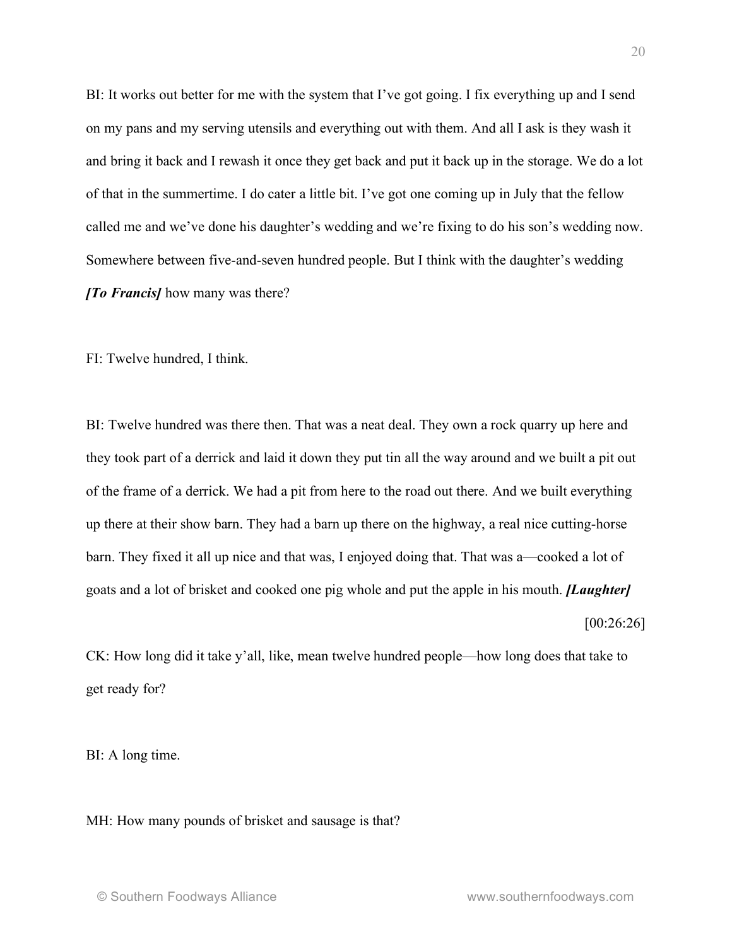BI: It works out better for me with the system that I've got going. I fix everything up and I send on my pans and my serving utensils and everything out with them. And all I ask is they wash it and bring it back and I rewash it once they get back and put it back up in the storage. We do a lot of that in the summertime. I do cater a little bit. I've got one coming up in July that the fellow called me and we've done his daughter's wedding and we're fixing to do his son's wedding now. Somewhere between five-and-seven hundred people. But I think with the daughter's wedding *[To Francis]* how many was there?

FI: Twelve hundred, I think.

BI: Twelve hundred was there then. That was a neat deal. They own a rock quarry up here and they took part of a derrick and laid it down they put tin all the way around and we built a pit out of the frame of a derrick. We had a pit from here to the road out there. And we built everything up there at their show barn. They had a barn up there on the highway, a real nice cutting-horse barn. They fixed it all up nice and that was, I enjoyed doing that. That was a—cooked a lot of goats and a lot of brisket and cooked one pig whole and put the apple in his mouth. *[Laughter]* [00:26:26]

CK: How long did it take y'all, like, mean twelve hundred people—how long does that take to get ready for?

BI: A long time.

MH: How many pounds of brisket and sausage is that?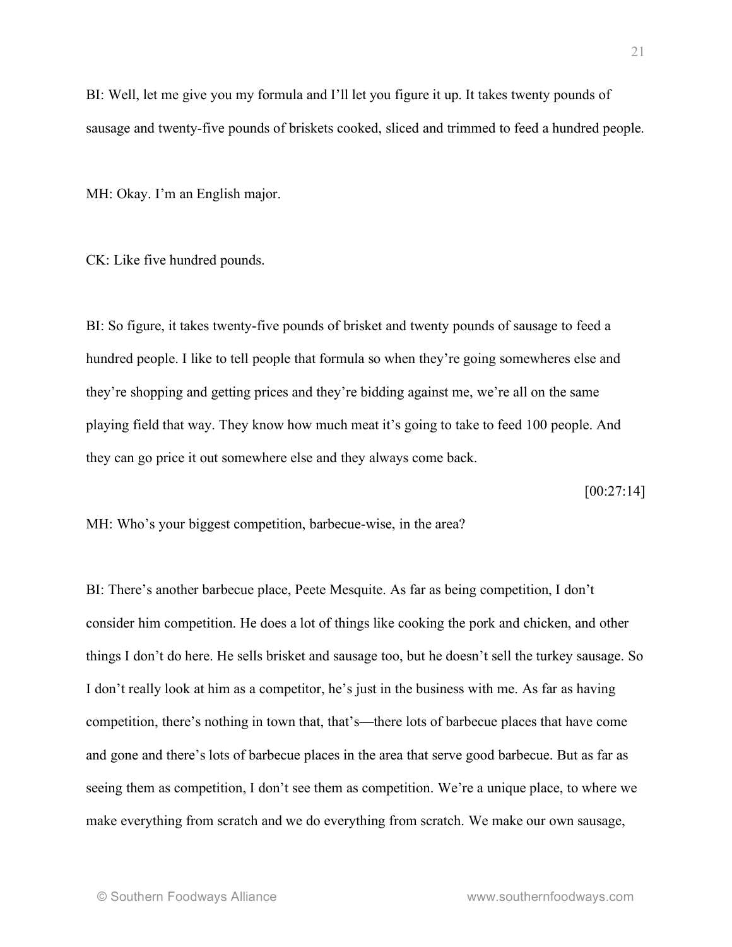BI: Well, let me give you my formula and I'll let you figure it up. It takes twenty pounds of sausage and twenty-five pounds of briskets cooked, sliced and trimmed to feed a hundred people.

MH: Okay. I'm an English major.

CK: Like five hundred pounds.

BI: So figure, it takes twenty-five pounds of brisket and twenty pounds of sausage to feed a hundred people. I like to tell people that formula so when they're going somewheres else and they're shopping and getting prices and they're bidding against me, we're all on the same playing field that way. They know how much meat it's going to take to feed 100 people. And they can go price it out somewhere else and they always come back.

[00:27:14]

MH: Who's your biggest competition, barbecue-wise, in the area?

BI: There's another barbecue place, Peete Mesquite. As far as being competition, I don't consider him competition. He does a lot of things like cooking the pork and chicken, and other things I don't do here. He sells brisket and sausage too, but he doesn't sell the turkey sausage. So I don't really look at him as a competitor, he's just in the business with me. As far as having competition, there's nothing in town that, that's—there lots of barbecue places that have come and gone and there's lots of barbecue places in the area that serve good barbecue. But as far as seeing them as competition, I don't see them as competition. We're a unique place, to where we make everything from scratch and we do everything from scratch. We make our own sausage,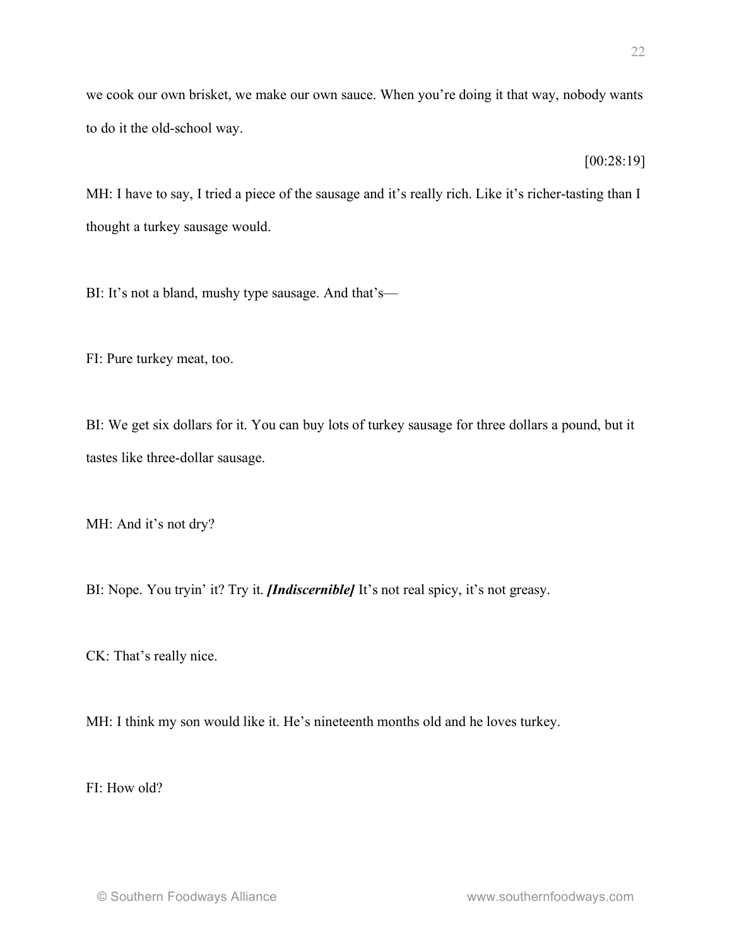we cook our own brisket, we make our own sauce. When you're doing it that way, nobody wants to do it the old-school way.

[00:28:19]

MH: I have to say, I tried a piece of the sausage and it's really rich. Like it's richer-tasting than I thought a turkey sausage would.

BI: It's not a bland, mushy type sausage. And that's—

FI: Pure turkey meat, too.

BI: We get six dollars for it. You can buy lots of turkey sausage for three dollars a pound, but it tastes like three-dollar sausage.

MH: And it's not dry?

BI: Nope. You tryin' it? Try it. *[Indiscernible]* It's not real spicy, it's not greasy.

CK: That's really nice.

MH: I think my son would like it. He's nineteenth months old and he loves turkey.

FI: How old?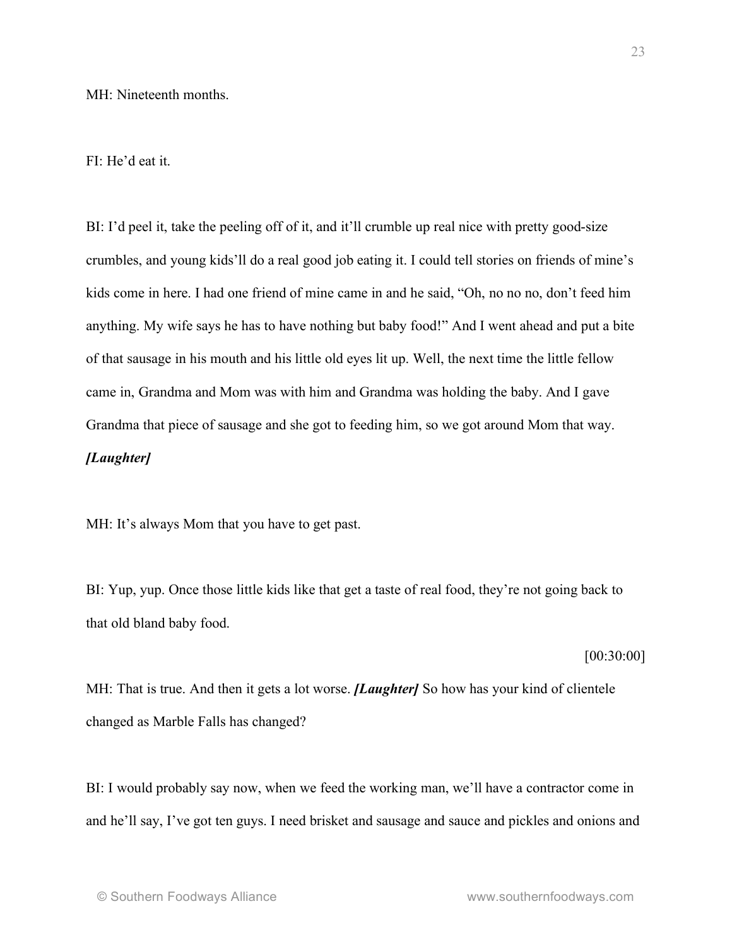### FI: He'd eat it.

BI: I'd peel it, take the peeling off of it, and it'll crumble up real nice with pretty good-size crumbles, and young kids'll do a real good job eating it. I could tell stories on friends of mine's kids come in here. I had one friend of mine came in and he said, "Oh, no no no, don't feed him anything. My wife says he has to have nothing but baby food!" And I went ahead and put a bite of that sausage in his mouth and his little old eyes lit up. Well, the next time the little fellow came in, Grandma and Mom was with him and Grandma was holding the baby. And I gave Grandma that piece of sausage and she got to feeding him, so we got around Mom that way. *[Laughter]*

MH: It's always Mom that you have to get past.

BI: Yup, yup. Once those little kids like that get a taste of real food, they're not going back to that old bland baby food.

[00:30:00]

MH: That is true. And then it gets a lot worse. *[Laughter]* So how has your kind of clientele changed as Marble Falls has changed?

BI: I would probably say now, when we feed the working man, we'll have a contractor come in and he'll say, I've got ten guys. I need brisket and sausage and sauce and pickles and onions and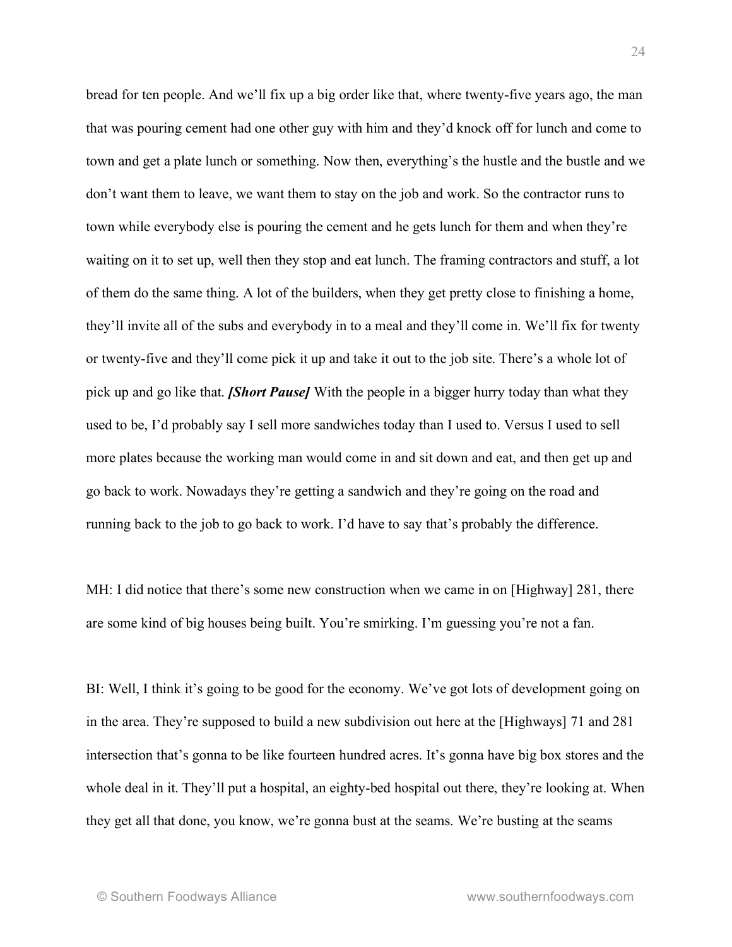bread for ten people. And we'll fix up a big order like that, where twenty-five years ago, the man that was pouring cement had one other guy with him and they'd knock off for lunch and come to town and get a plate lunch or something. Now then, everything's the hustle and the bustle and we don't want them to leave, we want them to stay on the job and work. So the contractor runs to town while everybody else is pouring the cement and he gets lunch for them and when they're waiting on it to set up, well then they stop and eat lunch. The framing contractors and stuff, a lot of them do the same thing. A lot of the builders, when they get pretty close to finishing a home, they'll invite all of the subs and everybody in to a meal and they'll come in. We'll fix for twenty or twenty-five and they'll come pick it up and take it out to the job site. There's a whole lot of pick up and go like that. *[Short Pause]* With the people in a bigger hurry today than what they used to be, I'd probably say I sell more sandwiches today than I used to. Versus I used to sell more plates because the working man would come in and sit down and eat, and then get up and go back to work. Nowadays they're getting a sandwich and they're going on the road and running back to the job to go back to work. I'd have to say that's probably the difference.

MH: I did notice that there's some new construction when we came in on [Highway] 281, there are some kind of big houses being built. You're smirking. I'm guessing you're not a fan.

BI: Well, I think it's going to be good for the economy. We've got lots of development going on in the area. They're supposed to build a new subdivision out here at the [Highways] 71 and 281 intersection that's gonna to be like fourteen hundred acres. It's gonna have big box stores and the whole deal in it. They'll put a hospital, an eighty-bed hospital out there, they're looking at. When they get all that done, you know, we're gonna bust at the seams. We're busting at the seams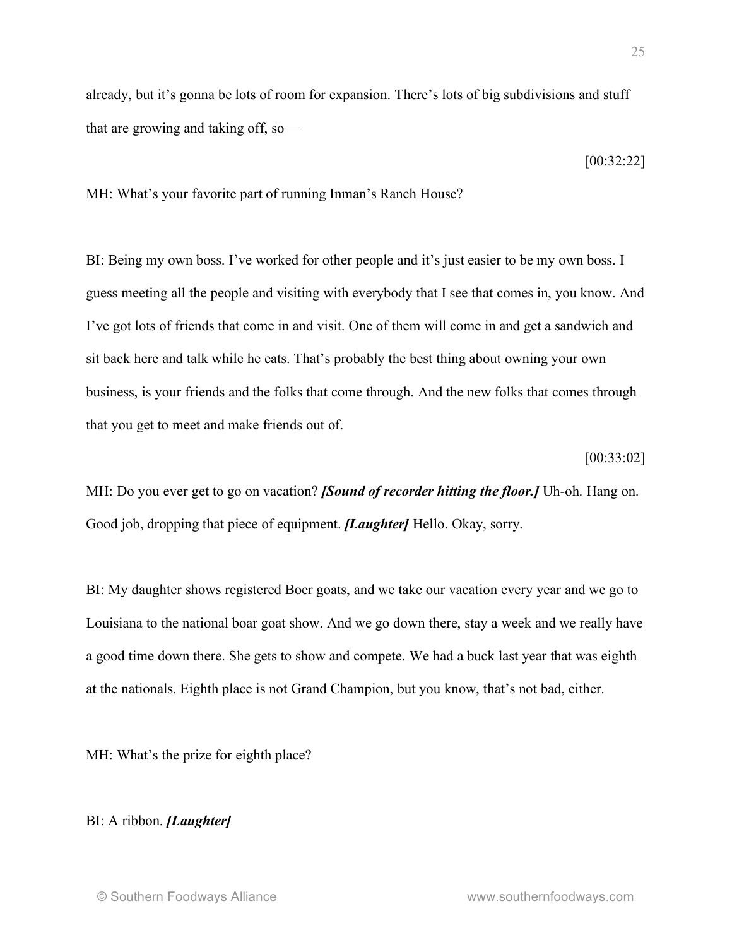already, but it's gonna be lots of room for expansion. There's lots of big subdivisions and stuff that are growing and taking off, so—

[00:32:22]

MH: What's your favorite part of running Inman's Ranch House?

BI: Being my own boss. I've worked for other people and it's just easier to be my own boss. I guess meeting all the people and visiting with everybody that I see that comes in, you know. And I've got lots of friends that come in and visit. One of them will come in and get a sandwich and sit back here and talk while he eats. That's probably the best thing about owning your own business, is your friends and the folks that come through. And the new folks that comes through that you get to meet and make friends out of.

[00:33:02]

MH: Do you ever get to go on vacation? *[Sound of recorder hitting the floor.]* Uh-oh. Hang on. Good job, dropping that piece of equipment. *[Laughter]* Hello. Okay, sorry.

BI: My daughter shows registered Boer goats, and we take our vacation every year and we go to Louisiana to the national boar goat show. And we go down there, stay a week and we really have a good time down there. She gets to show and compete. We had a buck last year that was eighth at the nationals. Eighth place is not Grand Champion, but you know, that's not bad, either.

MH: What's the prize for eighth place?

## BI: A ribbon. *[Laughter]*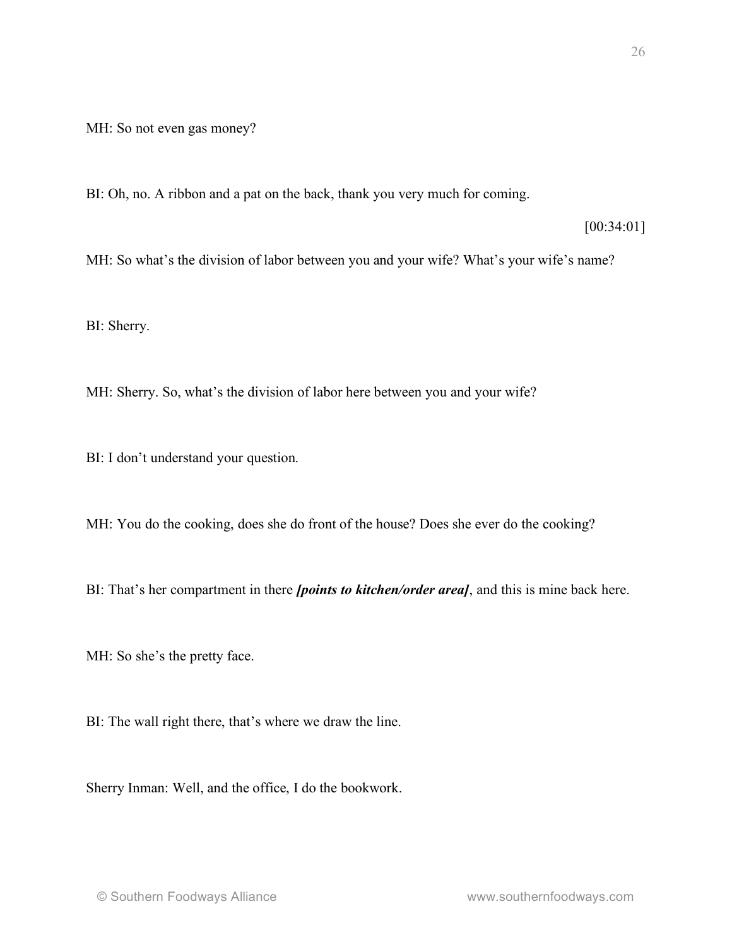MH: So not even gas money?

BI: Oh, no. A ribbon and a pat on the back, thank you very much for coming.

[00:34:01]

MH: So what's the division of labor between you and your wife? What's your wife's name?

BI: Sherry.

MH: Sherry. So, what's the division of labor here between you and your wife?

BI: I don't understand your question.

MH: You do the cooking, does she do front of the house? Does she ever do the cooking?

BI: That's her compartment in there *[points to kitchen/order area]*, and this is mine back here.

MH: So she's the pretty face.

BI: The wall right there, that's where we draw the line.

Sherry Inman: Well, and the office, I do the bookwork.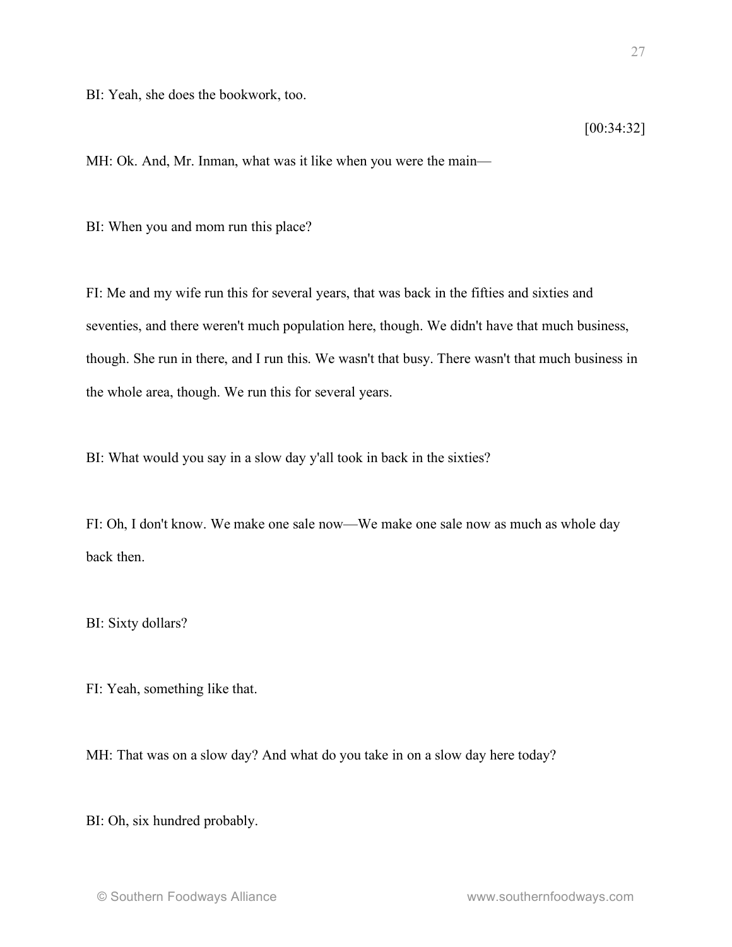BI: Yeah, she does the bookwork, too.

[00:34:32]

MH: Ok. And, Mr. Inman, what was it like when you were the main—

BI: When you and mom run this place?

FI: Me and my wife run this for several years, that was back in the fifties and sixties and seventies, and there weren't much population here, though. We didn't have that much business, though. She run in there, and I run this. We wasn't that busy. There wasn't that much business in the whole area, though. We run this for several years.

BI: What would you say in a slow day y'all took in back in the sixties?

FI: Oh, I don't know. We make one sale now—We make one sale now as much as whole day back then.

BI: Sixty dollars?

FI: Yeah, something like that.

MH: That was on a slow day? And what do you take in on a slow day here today?

BI: Oh, six hundred probably.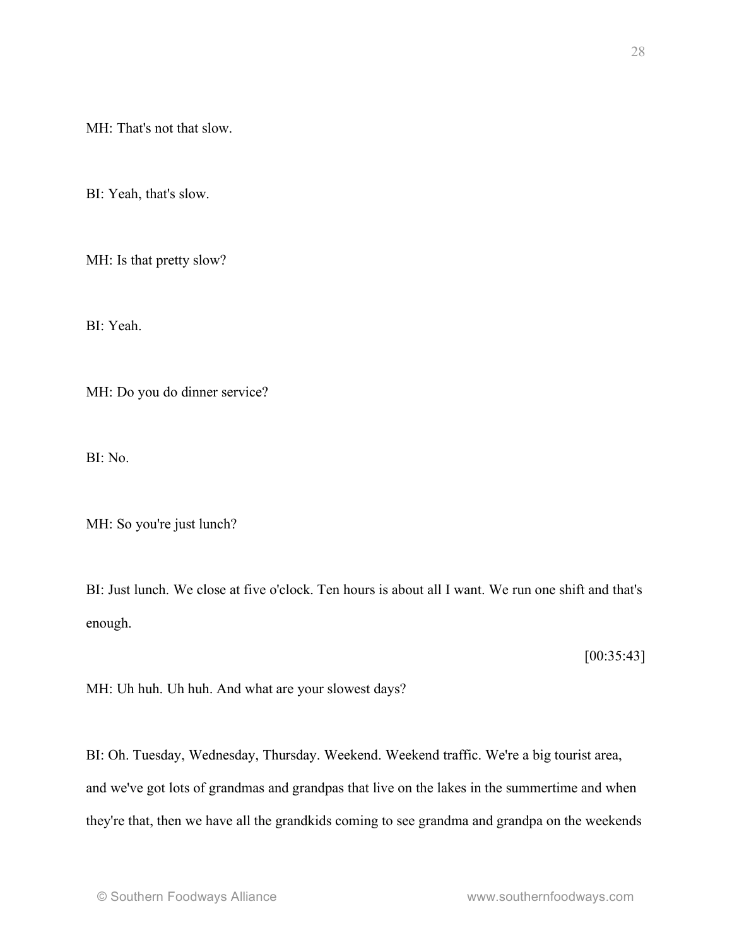MH: That's not that slow.

BI: Yeah, that's slow.

MH: Is that pretty slow?

BI: Yeah.

MH: Do you do dinner service?

BI: No.

MH: So you're just lunch?

BI: Just lunch. We close at five o'clock. Ten hours is about all I want. We run one shift and that's enough.

 $[00:35:43]$ 

MH: Uh huh. Uh huh. And what are your slowest days?

BI: Oh. Tuesday, Wednesday, Thursday. Weekend. Weekend traffic. We're a big tourist area, and we've got lots of grandmas and grandpas that live on the lakes in the summertime and when they're that, then we have all the grandkids coming to see grandma and grandpa on the weekends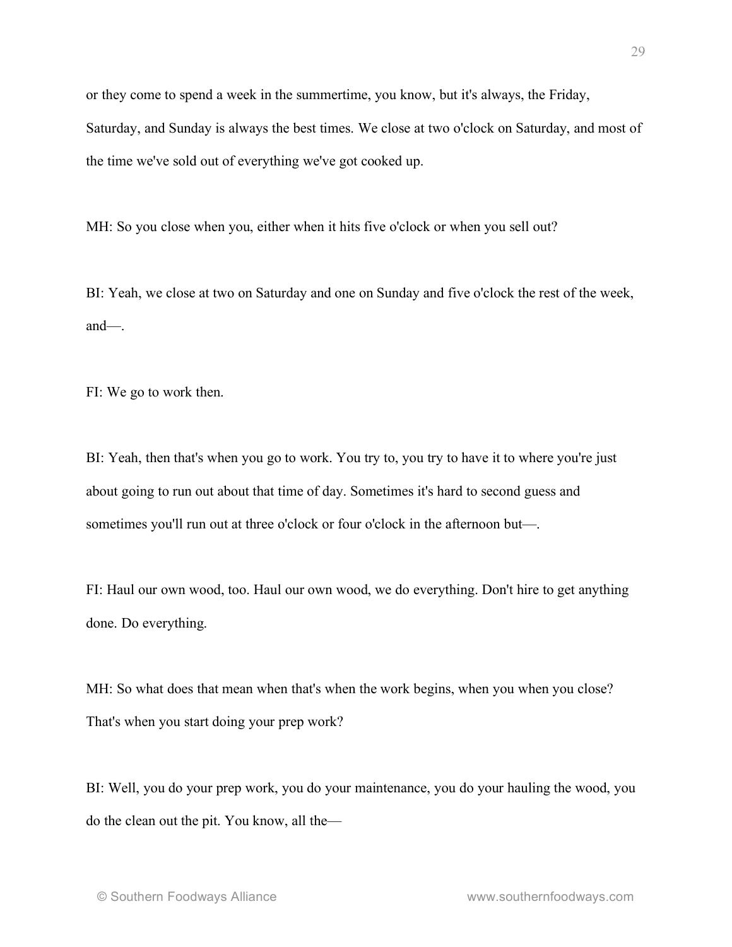or they come to spend a week in the summertime, you know, but it's always, the Friday, Saturday, and Sunday is always the best times. We close at two o'clock on Saturday, and most of the time we've sold out of everything we've got cooked up.

MH: So you close when you, either when it hits five o'clock or when you sell out?

BI: Yeah, we close at two on Saturday and one on Sunday and five o'clock the rest of the week, and—.

FI: We go to work then.

BI: Yeah, then that's when you go to work. You try to, you try to have it to where you're just about going to run out about that time of day. Sometimes it's hard to second guess and sometimes you'll run out at three o'clock or four o'clock in the afternoon but—.

FI: Haul our own wood, too. Haul our own wood, we do everything. Don't hire to get anything done. Do everything.

MH: So what does that mean when that's when the work begins, when you when you close? That's when you start doing your prep work?

BI: Well, you do your prep work, you do your maintenance, you do your hauling the wood, you do the clean out the pit. You know, all the—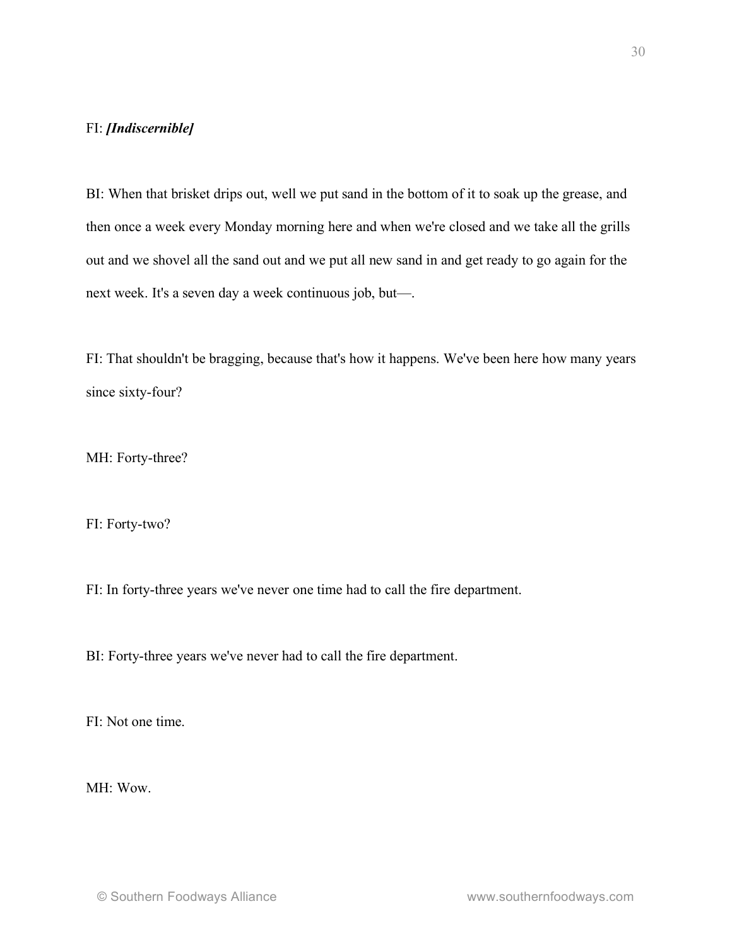### FI: *[Indiscernible]*

BI: When that brisket drips out, well we put sand in the bottom of it to soak up the grease, and then once a week every Monday morning here and when we're closed and we take all the grills out and we shovel all the sand out and we put all new sand in and get ready to go again for the next week. It's a seven day a week continuous job, but—.

FI: That shouldn't be bragging, because that's how it happens. We've been here how many years since sixty-four?

MH: Forty-three?

FI: Forty-two?

FI: In forty-three years we've never one time had to call the fire department.

BI: Forty-three years we've never had to call the fire department.

FI: Not one time.

MH: Wow.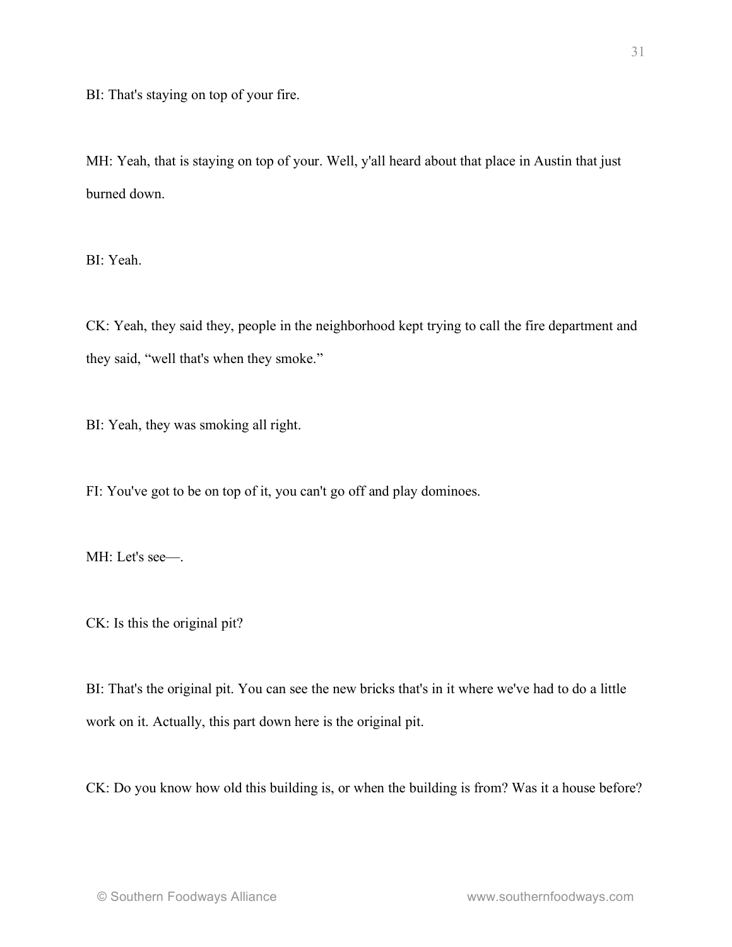BI: That's staying on top of your fire.

MH: Yeah, that is staying on top of your. Well, y'all heard about that place in Austin that just burned down.

BI: Yeah.

CK: Yeah, they said they, people in the neighborhood kept trying to call the fire department and they said, "well that's when they smoke."

BI: Yeah, they was smoking all right.

FI: You've got to be on top of it, you can't go off and play dominoes.

MH: Let's see—.

CK: Is this the original pit?

BI: That's the original pit. You can see the new bricks that's in it where we've had to do a little work on it. Actually, this part down here is the original pit.

CK: Do you know how old this building is, or when the building is from? Was it a house before?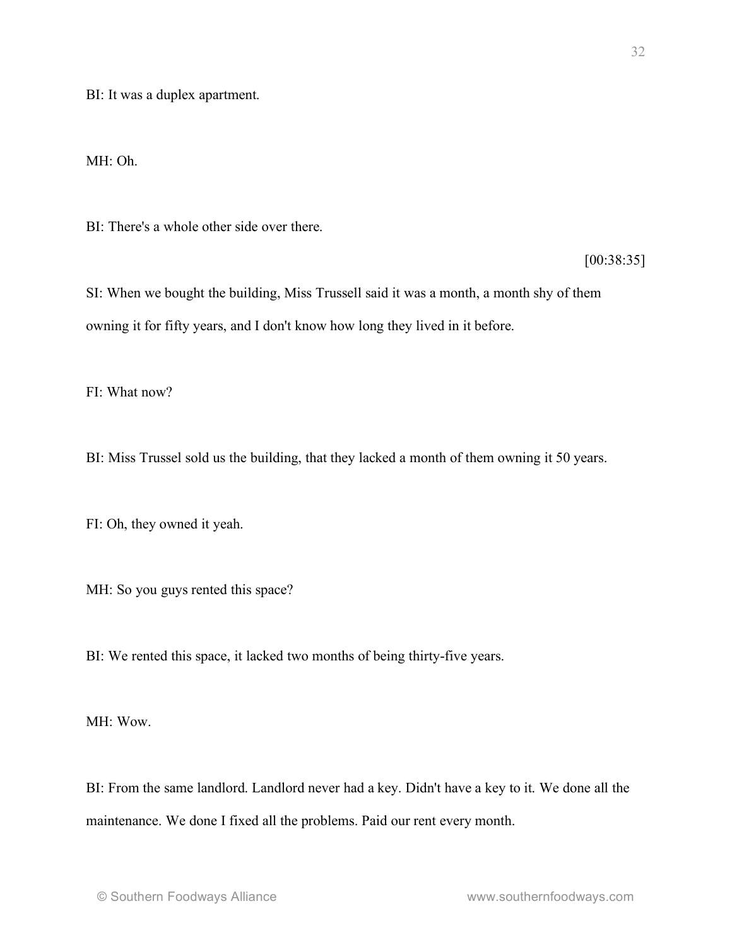BI: It was a duplex apartment.

MH: Oh.

BI: There's a whole other side over there.

[00:38:35]

SI: When we bought the building, Miss Trussell said it was a month, a month shy of them owning it for fifty years, and I don't know how long they lived in it before.

 $FI: What now?$ 

BI: Miss Trussel sold us the building, that they lacked a month of them owning it 50 years.

FI: Oh, they owned it yeah.

MH: So you guys rented this space?

BI: We rented this space, it lacked two months of being thirty-five years.

MH: Wow.

BI: From the same landlord. Landlord never had a key. Didn't have a key to it. We done all the maintenance. We done I fixed all the problems. Paid our rent every month.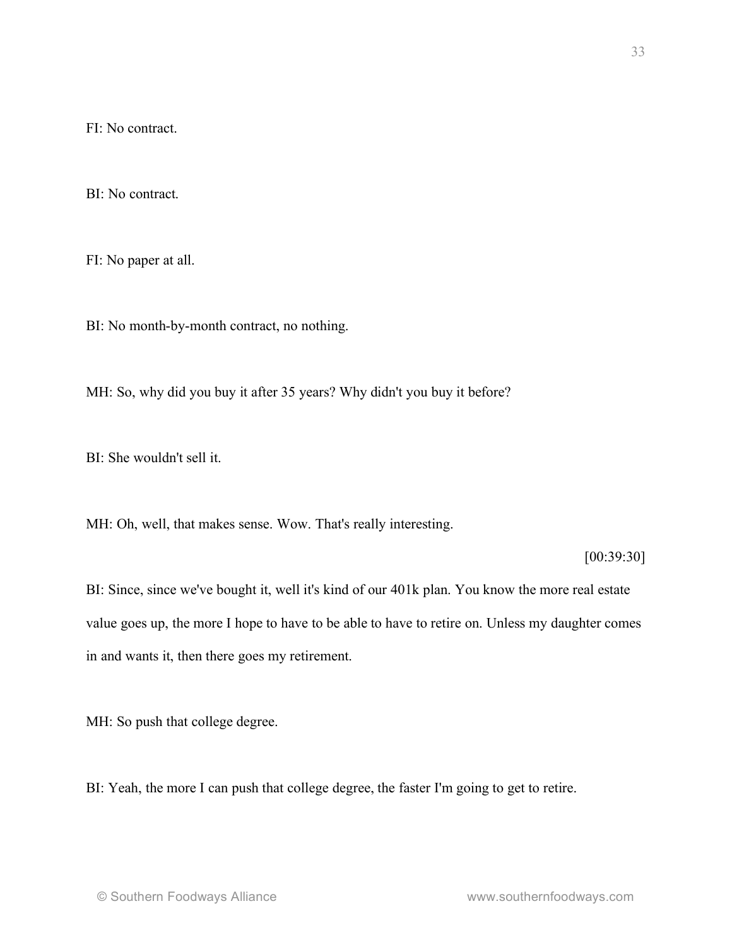FI: No contract.

BI: No contract.

FI: No paper at all.

BI: No month-by-month contract, no nothing.

MH: So, why did you buy it after 35 years? Why didn't you buy it before?

BI: She wouldn't sell it.

MH: Oh, well, that makes sense. Wow. That's really interesting.

[00:39:30]

BI: Since, since we've bought it, well it's kind of our 401k plan. You know the more real estate value goes up, the more I hope to have to be able to have to retire on. Unless my daughter comes in and wants it, then there goes my retirement.

MH: So push that college degree.

BI: Yeah, the more I can push that college degree, the faster I'm going to get to retire.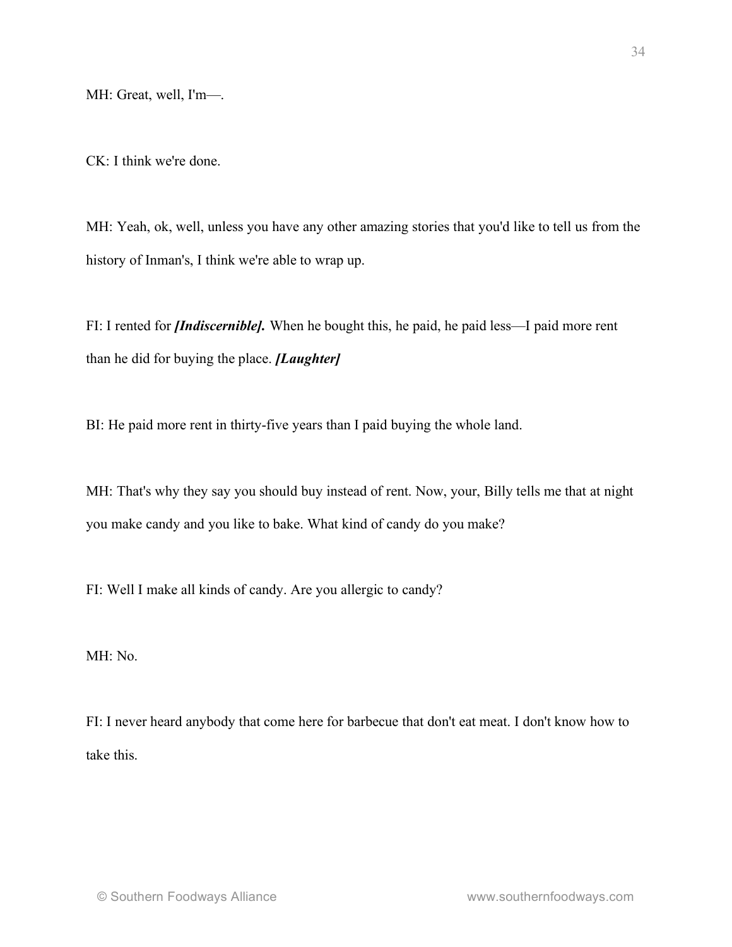MH: Great, well, I'm—.

CK: I think we're done.

MH: Yeah, ok, well, unless you have any other amazing stories that you'd like to tell us from the history of Inman's, I think we're able to wrap up.

FI: I rented for *[Indiscernible]*. When he bought this, he paid, he paid less—I paid more rent than he did for buying the place. *[Laughter]*

BI: He paid more rent in thirty-five years than I paid buying the whole land.

MH: That's why they say you should buy instead of rent. Now, your, Billy tells me that at night you make candy and you like to bake. What kind of candy do you make?

FI: Well I make all kinds of candy. Are you allergic to candy?

MH: No.

FI: I never heard anybody that come here for barbecue that don't eat meat. I don't know how to take this.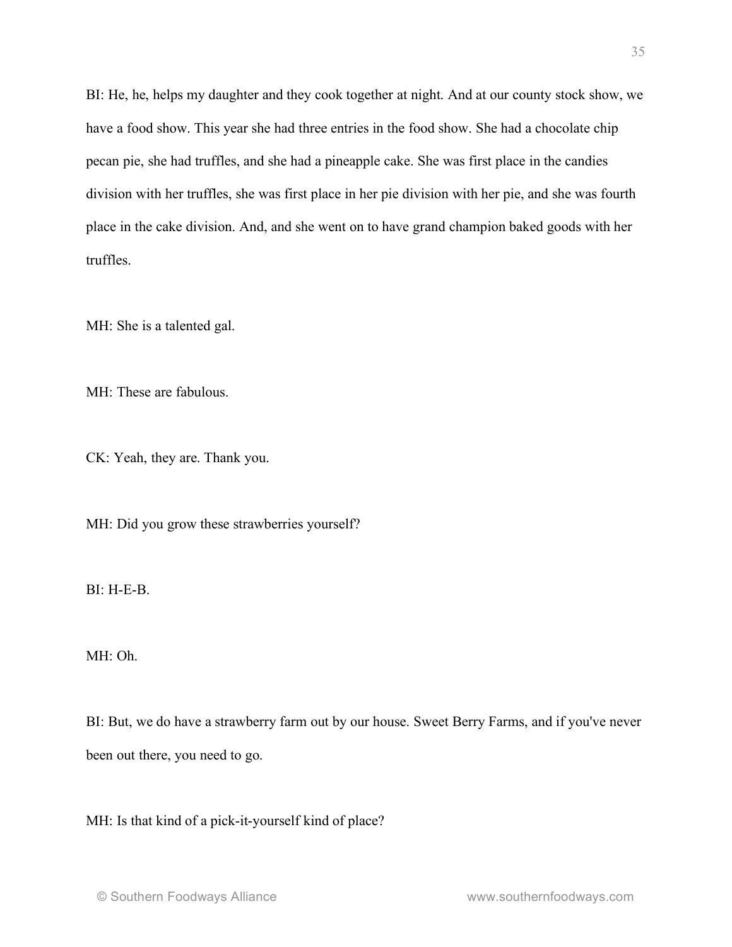BI: He, he, helps my daughter and they cook together at night. And at our county stock show, we have a food show. This year she had three entries in the food show. She had a chocolate chip pecan pie, she had truffles, and she had a pineapple cake. She was first place in the candies division with her truffles, she was first place in her pie division with her pie, and she was fourth place in the cake division. And, and she went on to have grand champion baked goods with her truffles.

MH: She is a talented gal.

MH: These are fabulous.

CK: Yeah, they are. Thank you.

MH: Did you grow these strawberries yourself?

BI: H-E-B.

MH: Oh.

BI: But, we do have a strawberry farm out by our house. Sweet Berry Farms, and if you've never been out there, you need to go.

MH: Is that kind of a pick-it-yourself kind of place?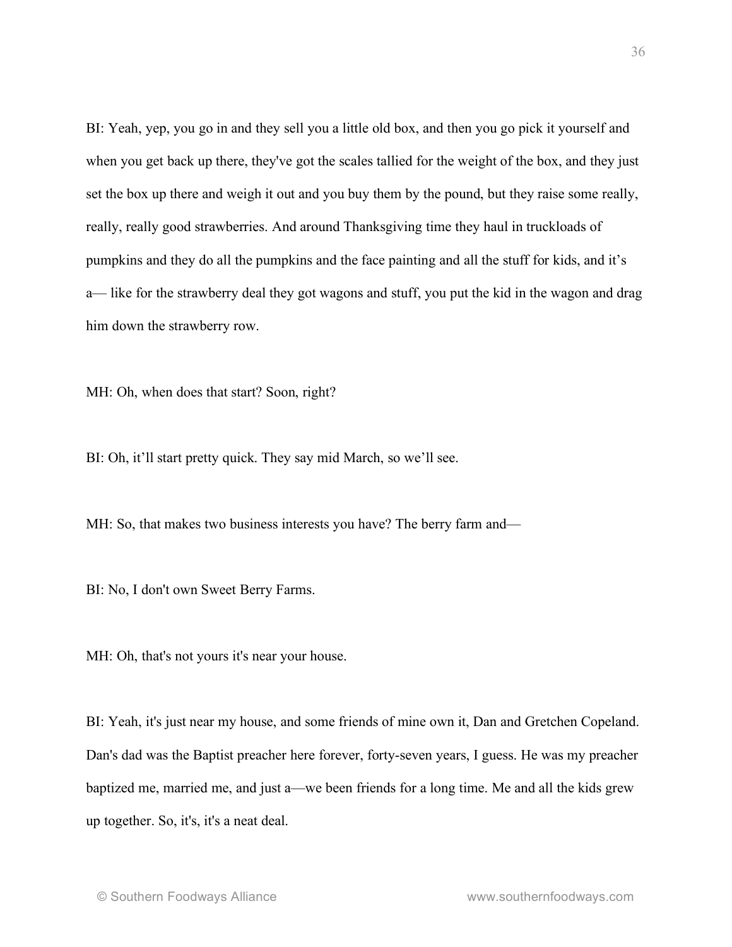BI: Yeah, yep, you go in and they sell you a little old box, and then you go pick it yourself and when you get back up there, they've got the scales tallied for the weight of the box, and they just set the box up there and weigh it out and you buy them by the pound, but they raise some really, really, really good strawberries. And around Thanksgiving time they haul in truckloads of pumpkins and they do all the pumpkins and the face painting and all the stuff for kids, and it's a— like for the strawberry deal they got wagons and stuff, you put the kid in the wagon and drag him down the strawberry row.

MH: Oh, when does that start? Soon, right?

BI: Oh, it'll start pretty quick. They say mid March, so we'll see.

MH: So, that makes two business interests you have? The berry farm and—

BI: No, I don't own Sweet Berry Farms.

MH: Oh, that's not yours it's near your house.

BI: Yeah, it's just near my house, and some friends of mine own it, Dan and Gretchen Copeland. Dan's dad was the Baptist preacher here forever, forty-seven years, I guess. He was my preacher baptized me, married me, and just a—we been friends for a long time. Me and all the kids grew up together. So, it's, it's a neat deal.